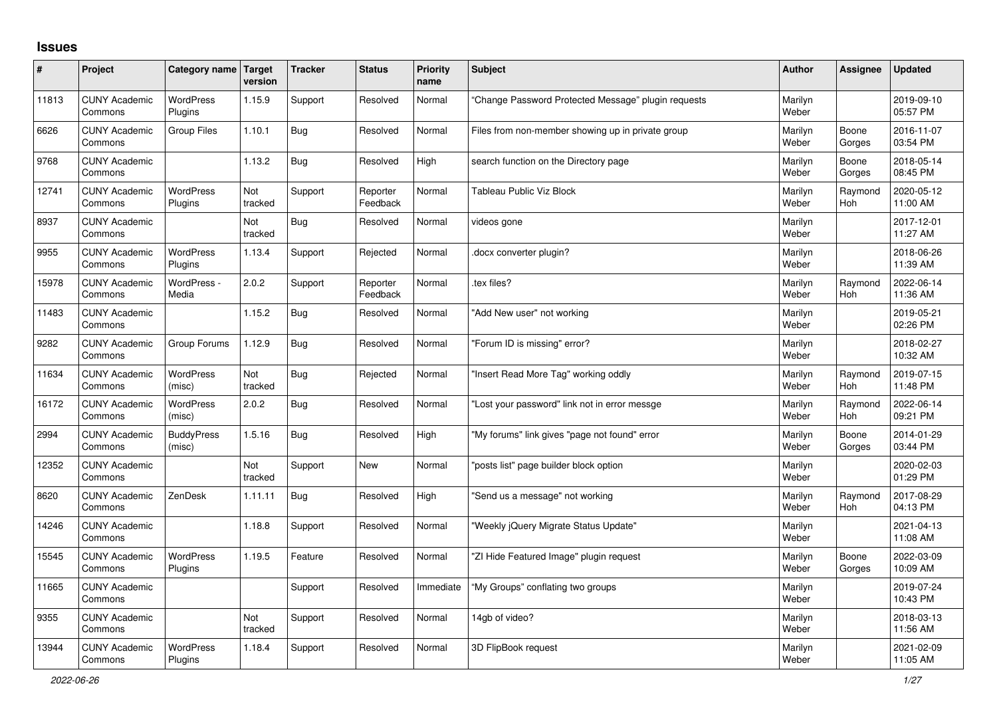## **Issues**

| ∦     | Project                         | Category name               | <b>Target</b><br>version | <b>Tracker</b> | <b>Status</b>        | <b>Priority</b><br>name | <b>Subject</b>                                      | Author           | Assignee              | <b>Updated</b>         |
|-------|---------------------------------|-----------------------------|--------------------------|----------------|----------------------|-------------------------|-----------------------------------------------------|------------------|-----------------------|------------------------|
| 11813 | <b>CUNY Academic</b><br>Commons | <b>WordPress</b><br>Plugins | 1.15.9                   | Support        | Resolved             | Normal                  | 'Change Password Protected Message" plugin requests | Marilyn<br>Weber |                       | 2019-09-10<br>05:57 PM |
| 6626  | <b>CUNY Academic</b><br>Commons | <b>Group Files</b>          | 1.10.1                   | Bug            | Resolved             | Normal                  | Files from non-member showing up in private group   | Marilyn<br>Weber | Boone<br>Gorges       | 2016-11-07<br>03:54 PM |
| 9768  | <b>CUNY Academic</b><br>Commons |                             | 1.13.2                   | Bug            | Resolved             | High                    | search function on the Directory page               | Marilyn<br>Weber | Boone<br>Gorges       | 2018-05-14<br>08:45 PM |
| 12741 | <b>CUNY Academic</b><br>Commons | <b>WordPress</b><br>Plugins | Not<br>tracked           | Support        | Reporter<br>Feedback | Normal                  | Tableau Public Viz Block                            | Marilyn<br>Weber | Raymond<br>Hoh        | 2020-05-12<br>11:00 AM |
| 8937  | <b>CUNY Academic</b><br>Commons |                             | Not<br>tracked           | <b>Bug</b>     | Resolved             | Normal                  | videos gone                                         | Marilyn<br>Weber |                       | 2017-12-01<br>11:27 AM |
| 9955  | <b>CUNY Academic</b><br>Commons | <b>WordPress</b><br>Plugins | 1.13.4                   | Support        | Rejected             | Normal                  | docx converter plugin?                              | Marilyn<br>Weber |                       | 2018-06-26<br>11:39 AM |
| 15978 | <b>CUNY Academic</b><br>Commons | WordPress -<br>Media        | 2.0.2                    | Support        | Reporter<br>Feedback | Normal                  | .tex files?                                         | Marilyn<br>Weber | Raymond<br><b>Hoh</b> | 2022-06-14<br>11:36 AM |
| 11483 | <b>CUNY Academic</b><br>Commons |                             | 1.15.2                   | Bug            | Resolved             | Normal                  | "Add New user" not working                          | Marilyn<br>Weber |                       | 2019-05-21<br>02:26 PM |
| 9282  | <b>CUNY Academic</b><br>Commons | Group Forums                | 1.12.9                   | <b>Bug</b>     | Resolved             | Normal                  | "Forum ID is missing" error?                        | Marilyn<br>Weber |                       | 2018-02-27<br>10:32 AM |
| 11634 | <b>CUNY Academic</b><br>Commons | <b>WordPress</b><br>(misc)  | Not<br>tracked           | <b>Bug</b>     | Rejected             | Normal                  | 'Insert Read More Tag" working oddly                | Marilyn<br>Weber | Raymond<br>Hoh        | 2019-07-15<br>11:48 PM |
| 16172 | <b>CUNY Academic</b><br>Commons | WordPress<br>(misc)         | 2.0.2                    | <b>Bug</b>     | Resolved             | Normal                  | 'Lost your password" link not in error messge       | Marilyn<br>Weber | Raymond<br>Hoh        | 2022-06-14<br>09:21 PM |
| 2994  | <b>CUNY Academic</b><br>Commons | <b>BuddyPress</b><br>(misc) | 1.5.16                   | <b>Bug</b>     | Resolved             | High                    | "My forums" link gives "page not found" error       | Marilyn<br>Weber | Boone<br>Gorges       | 2014-01-29<br>03:44 PM |
| 12352 | <b>CUNY Academic</b><br>Commons |                             | Not<br>tracked           | Support        | New                  | Normal                  | 'posts list" page builder block option              | Marilyn<br>Weber |                       | 2020-02-03<br>01:29 PM |
| 8620  | <b>CUNY Academic</b><br>Commons | ZenDesk                     | 1.11.11                  | <b>Bug</b>     | Resolved             | High                    | 'Send us a message" not working                     | Marilyn<br>Weber | Raymond<br>Hoh        | 2017-08-29<br>04:13 PM |
| 14246 | <b>CUNY Academic</b><br>Commons |                             | 1.18.8                   | Support        | Resolved             | Normal                  | "Weekly jQuery Migrate Status Update"               | Marilyn<br>Weber |                       | 2021-04-13<br>11:08 AM |
| 15545 | <b>CUNY Academic</b><br>Commons | <b>WordPress</b><br>Plugins | 1.19.5                   | Feature        | Resolved             | Normal                  | "ZI Hide Featured Image" plugin request             | Marilyn<br>Weber | Boone<br>Gorges       | 2022-03-09<br>10:09 AM |
| 11665 | <b>CUNY Academic</b><br>Commons |                             |                          | Support        | Resolved             | Immediate               | "My Groups" conflating two groups                   | Marilyn<br>Weber |                       | 2019-07-24<br>10:43 PM |
| 9355  | <b>CUNY Academic</b><br>Commons |                             | Not<br>tracked           | Support        | Resolved             | Normal                  | 14gb of video?                                      | Marilyn<br>Weber |                       | 2018-03-13<br>11:56 AM |
| 13944 | <b>CUNY Academic</b><br>Commons | <b>WordPress</b><br>Plugins | 1.18.4                   | Support        | Resolved             | Normal                  | 3D FlipBook request                                 | Marilyn<br>Weber |                       | 2021-02-09<br>11:05 AM |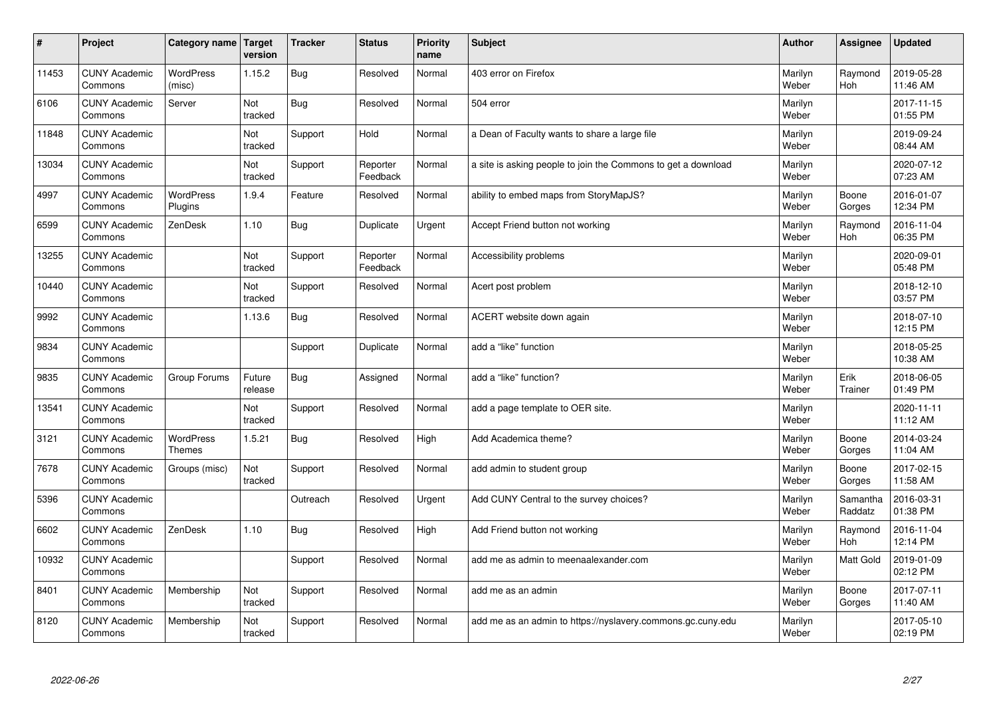| #     | Project                         | Category name   Target            | version           | <b>Tracker</b> | <b>Status</b>        | <b>Priority</b><br>name | <b>Subject</b>                                                | <b>Author</b>    | <b>Assignee</b>     | <b>Updated</b>         |
|-------|---------------------------------|-----------------------------------|-------------------|----------------|----------------------|-------------------------|---------------------------------------------------------------|------------------|---------------------|------------------------|
| 11453 | <b>CUNY Academic</b><br>Commons | <b>WordPress</b><br>(misc)        | 1.15.2            | Bug            | Resolved             | Normal                  | 403 error on Firefox                                          | Marilyn<br>Weber | Raymond<br>Hoh      | 2019-05-28<br>11:46 AM |
| 6106  | <b>CUNY Academic</b><br>Commons | Server                            | Not<br>tracked    | Bug            | Resolved             | Normal                  | 504 error                                                     | Marilyn<br>Weber |                     | 2017-11-15<br>01:55 PM |
| 11848 | <b>CUNY Academic</b><br>Commons |                                   | Not<br>tracked    | Support        | Hold                 | Normal                  | a Dean of Faculty wants to share a large file                 | Marilyn<br>Weber |                     | 2019-09-24<br>08:44 AM |
| 13034 | <b>CUNY Academic</b><br>Commons |                                   | Not<br>tracked    | Support        | Reporter<br>Feedback | Normal                  | a site is asking people to join the Commons to get a download | Marilyn<br>Weber |                     | 2020-07-12<br>07:23 AM |
| 4997  | <b>CUNY Academic</b><br>Commons | <b>WordPress</b><br>Plugins       | 1.9.4             | Feature        | Resolved             | Normal                  | ability to embed maps from StoryMapJS?                        | Marilyn<br>Weber | Boone<br>Gorges     | 2016-01-07<br>12:34 PM |
| 6599  | <b>CUNY Academic</b><br>Commons | ZenDesk                           | 1.10              | Bug            | Duplicate            | Urgent                  | Accept Friend button not working                              | Marilyn<br>Weber | Raymond<br>Hoh      | 2016-11-04<br>06:35 PM |
| 13255 | <b>CUNY Academic</b><br>Commons |                                   | Not<br>tracked    | Support        | Reporter<br>Feedback | Normal                  | Accessibility problems                                        | Marilyn<br>Weber |                     | 2020-09-01<br>05:48 PM |
| 10440 | <b>CUNY Academic</b><br>Commons |                                   | Not<br>tracked    | Support        | Resolved             | Normal                  | Acert post problem                                            | Marilyn<br>Weber |                     | 2018-12-10<br>03:57 PM |
| 9992  | <b>CUNY Academic</b><br>Commons |                                   | 1.13.6            | Bug            | Resolved             | Normal                  | ACERT website down again                                      | Marilyn<br>Weber |                     | 2018-07-10<br>12:15 PM |
| 9834  | <b>CUNY Academic</b><br>Commons |                                   |                   | Support        | Duplicate            | Normal                  | add a "like" function                                         | Marilyn<br>Weber |                     | 2018-05-25<br>10:38 AM |
| 9835  | <b>CUNY Academic</b><br>Commons | Group Forums                      | Future<br>release | Bug            | Assigned             | Normal                  | add a "like" function?                                        | Marilyn<br>Weber | Erik<br>Trainer     | 2018-06-05<br>01:49 PM |
| 13541 | <b>CUNY Academic</b><br>Commons |                                   | Not<br>tracked    | Support        | Resolved             | Normal                  | add a page template to OER site.                              | Marilyn<br>Weber |                     | 2020-11-11<br>11:12 AM |
| 3121  | <b>CUNY Academic</b><br>Commons | <b>WordPress</b><br><b>Themes</b> | 1.5.21            | <b>Bug</b>     | Resolved             | High                    | Add Academica theme?                                          | Marilyn<br>Weber | Boone<br>Gorges     | 2014-03-24<br>11:04 AM |
| 7678  | <b>CUNY Academic</b><br>Commons | Groups (misc)                     | Not<br>tracked    | Support        | Resolved             | Normal                  | add admin to student group                                    | Marilyn<br>Weber | Boone<br>Gorges     | 2017-02-15<br>11:58 AM |
| 5396  | <b>CUNY Academic</b><br>Commons |                                   |                   | Outreach       | Resolved             | Urgent                  | Add CUNY Central to the survey choices?                       | Marilyn<br>Weber | Samantha<br>Raddatz | 2016-03-31<br>01:38 PM |
| 6602  | <b>CUNY Academic</b><br>Commons | ZenDesk                           | 1.10              | Bug            | Resolved             | High                    | Add Friend button not working                                 | Marilyn<br>Weber | Raymond<br>Hoh      | 2016-11-04<br>12:14 PM |
| 10932 | <b>CUNY Academic</b><br>Commons |                                   |                   | Support        | Resolved             | Normal                  | add me as admin to meenaalexander.com                         | Marilyn<br>Weber | Matt Gold           | 2019-01-09<br>02:12 PM |
| 8401  | <b>CUNY Academic</b><br>Commons | Membership                        | Not<br>tracked    | Support        | Resolved             | Normal                  | add me as an admin                                            | Marilyn<br>Weber | Boone<br>Gorges     | 2017-07-11<br>11:40 AM |
| 8120  | <b>CUNY Academic</b><br>Commons | Membership                        | Not<br>tracked    | Support        | Resolved             | Normal                  | add me as an admin to https://nyslavery.commons.gc.cuny.edu   | Marilyn<br>Weber |                     | 2017-05-10<br>02:19 PM |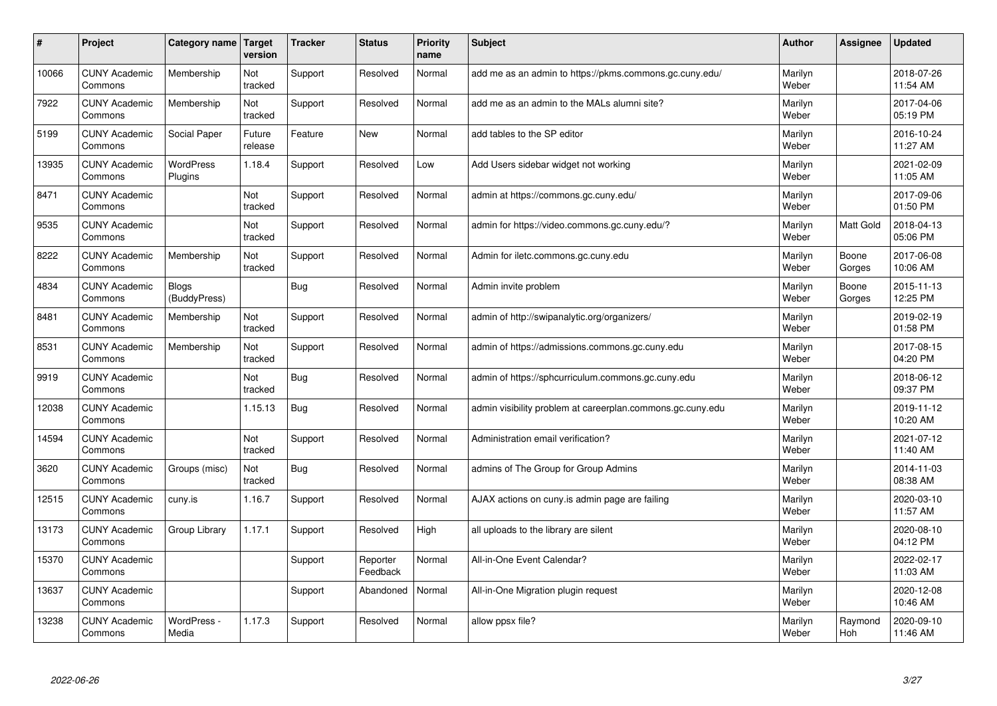| #     | Project                         | Category name   Target       | version           | <b>Tracker</b> | <b>Status</b>        | <b>Priority</b><br>name | <b>Subject</b>                                             | <b>Author</b>    | Assignee         | <b>Updated</b>         |
|-------|---------------------------------|------------------------------|-------------------|----------------|----------------------|-------------------------|------------------------------------------------------------|------------------|------------------|------------------------|
| 10066 | <b>CUNY Academic</b><br>Commons | Membership                   | Not<br>tracked    | Support        | Resolved             | Normal                  | add me as an admin to https://pkms.commons.gc.cuny.edu/    | Marilyn<br>Weber |                  | 2018-07-26<br>11:54 AM |
| 7922  | <b>CUNY Academic</b><br>Commons | Membership                   | Not<br>tracked    | Support        | Resolved             | Normal                  | add me as an admin to the MALs alumni site?                | Marilyn<br>Weber |                  | 2017-04-06<br>05:19 PM |
| 5199  | <b>CUNY Academic</b><br>Commons | Social Paper                 | Future<br>release | Feature        | <b>New</b>           | Normal                  | add tables to the SP editor                                | Marilyn<br>Weber |                  | 2016-10-24<br>11:27 AM |
| 13935 | <b>CUNY Academic</b><br>Commons | <b>WordPress</b><br>Plugins  | 1.18.4            | Support        | Resolved             | Low                     | Add Users sidebar widget not working                       | Marilyn<br>Weber |                  | 2021-02-09<br>11:05 AM |
| 8471  | <b>CUNY Academic</b><br>Commons |                              | Not<br>tracked    | Support        | Resolved             | Normal                  | admin at https://commons.gc.cuny.edu/                      | Marilyn<br>Weber |                  | 2017-09-06<br>01:50 PM |
| 9535  | <b>CUNY Academic</b><br>Commons |                              | Not<br>tracked    | Support        | Resolved             | Normal                  | admin for https://video.commons.gc.cuny.edu/?              | Marilyn<br>Weber | <b>Matt Gold</b> | 2018-04-13<br>05:06 PM |
| 8222  | <b>CUNY Academic</b><br>Commons | Membership                   | Not<br>tracked    | Support        | Resolved             | Normal                  | Admin for iletc.commons.gc.cuny.edu                        | Marilyn<br>Weber | Boone<br>Gorges  | 2017-06-08<br>10:06 AM |
| 4834  | <b>CUNY Academic</b><br>Commons | <b>Blogs</b><br>(BuddyPress) |                   | <b>Bug</b>     | Resolved             | Normal                  | Admin invite problem                                       | Marilyn<br>Weber | Boone<br>Gorges  | 2015-11-13<br>12:25 PM |
| 8481  | <b>CUNY Academic</b><br>Commons | Membership                   | Not<br>tracked    | Support        | Resolved             | Normal                  | admin of http://swipanalytic.org/organizers/               | Marilyn<br>Weber |                  | 2019-02-19<br>01:58 PM |
| 8531  | <b>CUNY Academic</b><br>Commons | Membership                   | Not<br>tracked    | Support        | Resolved             | Normal                  | admin of https://admissions.commons.gc.cuny.edu            | Marilyn<br>Weber |                  | 2017-08-15<br>04:20 PM |
| 9919  | <b>CUNY Academic</b><br>Commons |                              | Not<br>tracked    | Bug            | Resolved             | Normal                  | admin of https://sphcurriculum.commons.gc.cuny.edu         | Marilyn<br>Weber |                  | 2018-06-12<br>09:37 PM |
| 12038 | <b>CUNY Academic</b><br>Commons |                              | 1.15.13           | <b>Bug</b>     | Resolved             | Normal                  | admin visibility problem at careerplan.commons.gc.cuny.edu | Marilyn<br>Weber |                  | 2019-11-12<br>10:20 AM |
| 14594 | <b>CUNY Academic</b><br>Commons |                              | Not<br>tracked    | Support        | Resolved             | Normal                  | Administration email verification?                         | Marilyn<br>Weber |                  | 2021-07-12<br>11:40 AM |
| 3620  | <b>CUNY Academic</b><br>Commons | Groups (misc)                | Not<br>tracked    | Bug            | Resolved             | Normal                  | admins of The Group for Group Admins                       | Marilyn<br>Weber |                  | 2014-11-03<br>08:38 AM |
| 12515 | <b>CUNY Academic</b><br>Commons | cuny.is                      | 1.16.7            | Support        | Resolved             | Normal                  | AJAX actions on cuny.is admin page are failing             | Marilyn<br>Weber |                  | 2020-03-10<br>11:57 AM |
| 13173 | <b>CUNY Academic</b><br>Commons | Group Library                | 1.17.1            | Support        | Resolved             | High                    | all uploads to the library are silent                      | Marilyn<br>Weber |                  | 2020-08-10<br>04:12 PM |
| 15370 | <b>CUNY Academic</b><br>Commons |                              |                   | Support        | Reporter<br>Feedback | Normal                  | All-in-One Event Calendar?                                 | Marilyn<br>Weber |                  | 2022-02-17<br>11:03 AM |
| 13637 | <b>CUNY Academic</b><br>Commons |                              |                   | Support        | Abandoned            | Normal                  | All-in-One Migration plugin request                        | Marilyn<br>Weber |                  | 2020-12-08<br>10:46 AM |
| 13238 | <b>CUNY Academic</b><br>Commons | WordPress -<br>Media         | 1.17.3            | Support        | Resolved             | Normal                  | allow ppsx file?                                           | Marilyn<br>Weber | Raymond<br>Hoh   | 2020-09-10<br>11:46 AM |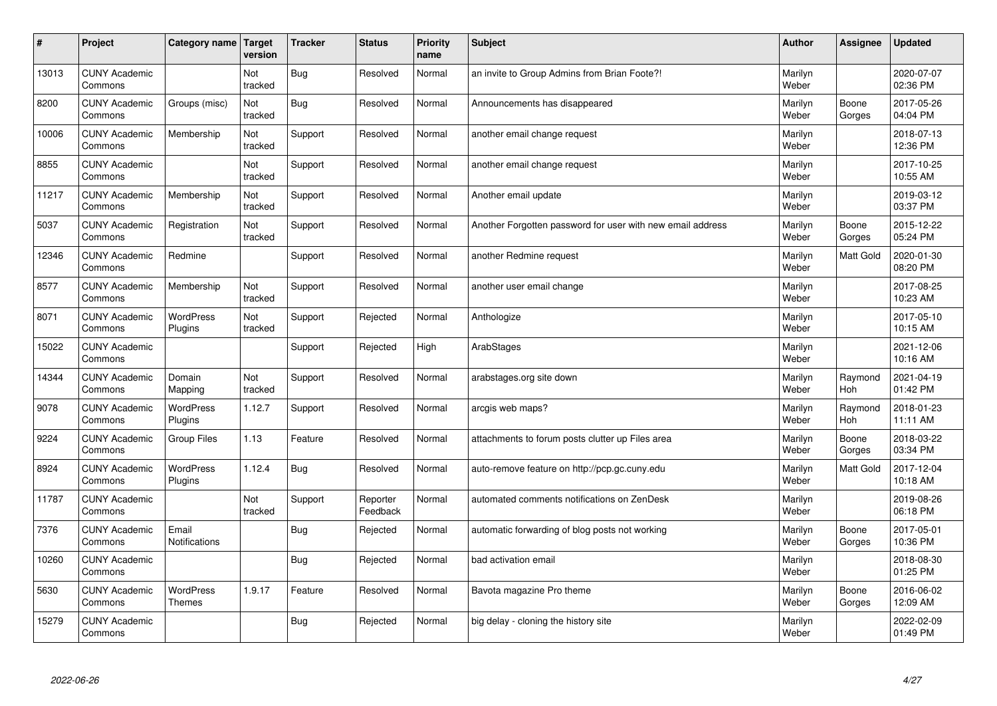| #     | Project                         | Category name   Target        | version        | <b>Tracker</b> | <b>Status</b>        | <b>Priority</b><br>name | <b>Subject</b>                                             | <b>Author</b>    | <b>Assignee</b>       | <b>Updated</b>         |
|-------|---------------------------------|-------------------------------|----------------|----------------|----------------------|-------------------------|------------------------------------------------------------|------------------|-----------------------|------------------------|
| 13013 | <b>CUNY Academic</b><br>Commons |                               | Not<br>tracked | Bug            | Resolved             | Normal                  | an invite to Group Admins from Brian Foote?!               | Marilyn<br>Weber |                       | 2020-07-07<br>02:36 PM |
| 8200  | <b>CUNY Academic</b><br>Commons | Groups (misc)                 | Not<br>tracked | Bug            | Resolved             | Normal                  | Announcements has disappeared                              | Marilyn<br>Weber | Boone<br>Gorges       | 2017-05-26<br>04:04 PM |
| 10006 | <b>CUNY Academic</b><br>Commons | Membership                    | Not<br>tracked | Support        | Resolved             | Normal                  | another email change request                               | Marilyn<br>Weber |                       | 2018-07-13<br>12:36 PM |
| 8855  | <b>CUNY Academic</b><br>Commons |                               | Not<br>tracked | Support        | Resolved             | Normal                  | another email change request                               | Marilyn<br>Weber |                       | 2017-10-25<br>10:55 AM |
| 11217 | <b>CUNY Academic</b><br>Commons | Membership                    | Not<br>tracked | Support        | Resolved             | Normal                  | Another email update                                       | Marilyn<br>Weber |                       | 2019-03-12<br>03:37 PM |
| 5037  | <b>CUNY Academic</b><br>Commons | Registration                  | Not<br>tracked | Support        | Resolved             | Normal                  | Another Forgotten password for user with new email address | Marilyn<br>Weber | Boone<br>Gorges       | 2015-12-22<br>05:24 PM |
| 12346 | <b>CUNY Academic</b><br>Commons | Redmine                       |                | Support        | Resolved             | Normal                  | another Redmine request                                    | Marilyn<br>Weber | <b>Matt Gold</b>      | 2020-01-30<br>08:20 PM |
| 8577  | <b>CUNY Academic</b><br>Commons | Membership                    | Not<br>tracked | Support        | Resolved             | Normal                  | another user email change                                  | Marilyn<br>Weber |                       | 2017-08-25<br>10:23 AM |
| 8071  | <b>CUNY Academic</b><br>Commons | WordPress<br>Plugins          | Not<br>tracked | Support        | Rejected             | Normal                  | Anthologize                                                | Marilyn<br>Weber |                       | 2017-05-10<br>10:15 AM |
| 15022 | <b>CUNY Academic</b><br>Commons |                               |                | Support        | Rejected             | High                    | ArabStages                                                 | Marilyn<br>Weber |                       | 2021-12-06<br>10:16 AM |
| 14344 | <b>CUNY Academic</b><br>Commons | Domain<br>Mapping             | Not<br>tracked | Support        | Resolved             | Normal                  | arabstages.org site down                                   | Marilyn<br>Weber | Raymond<br><b>Hoh</b> | 2021-04-19<br>01:42 PM |
| 9078  | <b>CUNY Academic</b><br>Commons | <b>WordPress</b><br>Plugins   | 1.12.7         | Support        | Resolved             | Normal                  | arcgis web maps?                                           | Marilyn<br>Weber | Raymond<br>Hoh        | 2018-01-23<br>11:11 AM |
| 9224  | <b>CUNY Academic</b><br>Commons | <b>Group Files</b>            | 1.13           | Feature        | Resolved             | Normal                  | attachments to forum posts clutter up Files area           | Marilyn<br>Weber | Boone<br>Gorges       | 2018-03-22<br>03:34 PM |
| 8924  | <b>CUNY Academic</b><br>Commons | WordPress<br>Plugins          | 1.12.4         | Bug            | Resolved             | Normal                  | auto-remove feature on http://pcp.gc.cuny.edu              | Marilyn<br>Weber | Matt Gold             | 2017-12-04<br>10:18 AM |
| 11787 | <b>CUNY Academic</b><br>Commons |                               | Not<br>tracked | Support        | Reporter<br>Feedback | Normal                  | automated comments notifications on ZenDesk                | Marilyn<br>Weber |                       | 2019-08-26<br>06:18 PM |
| 7376  | <b>CUNY Academic</b><br>Commons | Email<br><b>Notifications</b> |                | Bug            | Rejected             | Normal                  | automatic forwarding of blog posts not working             | Marilyn<br>Weber | Boone<br>Gorges       | 2017-05-01<br>10:36 PM |
| 10260 | <b>CUNY Academic</b><br>Commons |                               |                | Bug            | Rejected             | Normal                  | bad activation email                                       | Marilyn<br>Weber |                       | 2018-08-30<br>01:25 PM |
| 5630  | <b>CUNY Academic</b><br>Commons | WordPress<br><b>Themes</b>    | 1.9.17         | Feature        | Resolved             | Normal                  | Bavota magazine Pro theme                                  | Marilyn<br>Weber | Boone<br>Gorges       | 2016-06-02<br>12:09 AM |
| 15279 | <b>CUNY Academic</b><br>Commons |                               |                | Bug            | Rejected             | Normal                  | big delay - cloning the history site                       | Marilyn<br>Weber |                       | 2022-02-09<br>01:49 PM |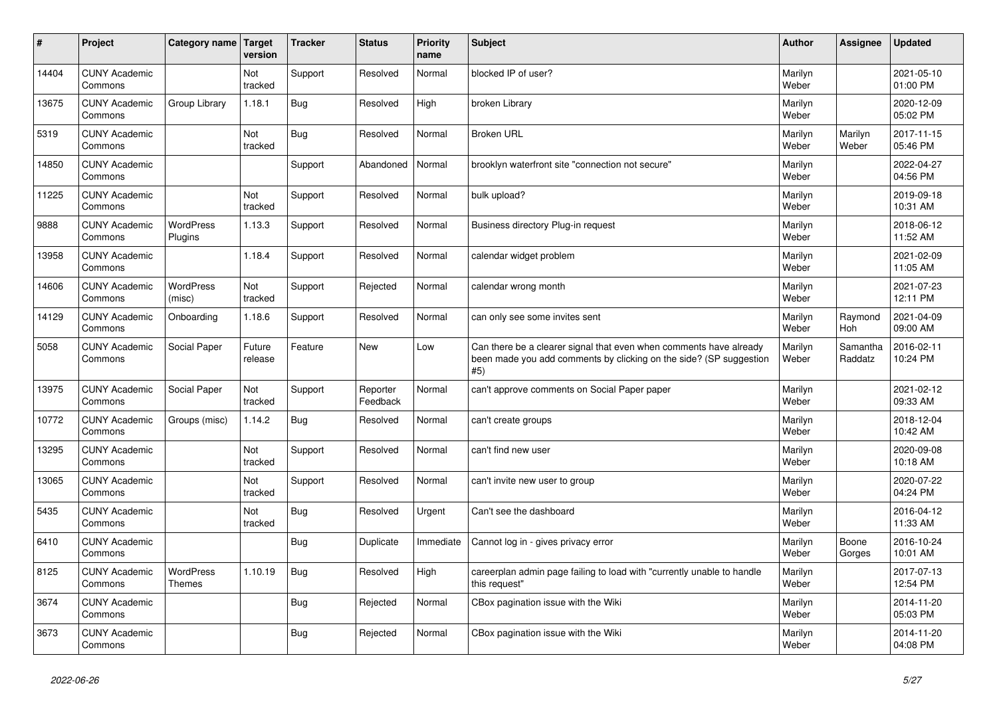| $\vert$ # | Project                         | Category name Target        | version           | <b>Tracker</b> | <b>Status</b>        | <b>Priority</b><br>name | <b>Subject</b>                                                                                                                                  | <b>Author</b>    | <b>Assignee</b>     | <b>Updated</b>         |
|-----------|---------------------------------|-----------------------------|-------------------|----------------|----------------------|-------------------------|-------------------------------------------------------------------------------------------------------------------------------------------------|------------------|---------------------|------------------------|
| 14404     | <b>CUNY Academic</b><br>Commons |                             | Not<br>tracked    | Support        | Resolved             | Normal                  | blocked IP of user?                                                                                                                             | Marilyn<br>Weber |                     | 2021-05-10<br>01:00 PM |
| 13675     | <b>CUNY Academic</b><br>Commons | Group Library               | 1.18.1            | Bug            | Resolved             | High                    | broken Library                                                                                                                                  | Marilyn<br>Weber |                     | 2020-12-09<br>05:02 PM |
| 5319      | <b>CUNY Academic</b><br>Commons |                             | Not<br>tracked    | Bug            | Resolved             | Normal                  | <b>Broken URL</b>                                                                                                                               | Marilyn<br>Weber | Marilyn<br>Weber    | 2017-11-15<br>05:46 PM |
| 14850     | <b>CUNY Academic</b><br>Commons |                             |                   | Support        | Abandoned            | Normal                  | brooklyn waterfront site "connection not secure"                                                                                                | Marilyn<br>Weber |                     | 2022-04-27<br>04:56 PM |
| 11225     | <b>CUNY Academic</b><br>Commons |                             | Not<br>tracked    | Support        | Resolved             | Normal                  | bulk upload?                                                                                                                                    | Marilyn<br>Weber |                     | 2019-09-18<br>10:31 AM |
| 9888      | <b>CUNY Academic</b><br>Commons | <b>WordPress</b><br>Plugins | 1.13.3            | Support        | Resolved             | Normal                  | Business directory Plug-in request                                                                                                              | Marilyn<br>Weber |                     | 2018-06-12<br>11:52 AM |
| 13958     | <b>CUNY Academic</b><br>Commons |                             | 1.18.4            | Support        | Resolved             | Normal                  | calendar widget problem                                                                                                                         | Marilyn<br>Weber |                     | 2021-02-09<br>11:05 AM |
| 14606     | <b>CUNY Academic</b><br>Commons | <b>WordPress</b><br>(misc)  | Not<br>tracked    | Support        | Rejected             | Normal                  | calendar wrong month                                                                                                                            | Marilyn<br>Weber |                     | 2021-07-23<br>12:11 PM |
| 14129     | <b>CUNY Academic</b><br>Commons | Onboarding                  | 1.18.6            | Support        | Resolved             | Normal                  | can only see some invites sent                                                                                                                  | Marilyn<br>Weber | Raymond<br>Hoh      | 2021-04-09<br>09:00 AM |
| 5058      | <b>CUNY Academic</b><br>Commons | Social Paper                | Future<br>release | Feature        | <b>New</b>           | Low                     | Can there be a clearer signal that even when comments have already<br>been made you add comments by clicking on the side? (SP suggestion<br>#5) | Marilyn<br>Weber | Samantha<br>Raddatz | 2016-02-11<br>10:24 PM |
| 13975     | <b>CUNY Academic</b><br>Commons | Social Paper                | Not<br>tracked    | Support        | Reporter<br>Feedback | Normal                  | can't approve comments on Social Paper paper                                                                                                    | Marilyn<br>Weber |                     | 2021-02-12<br>09:33 AM |
| 10772     | <b>CUNY Academic</b><br>Commons | Groups (misc)               | 1.14.2            | Bug            | Resolved             | Normal                  | can't create groups                                                                                                                             | Marilyn<br>Weber |                     | 2018-12-04<br>10:42 AM |
| 13295     | <b>CUNY Academic</b><br>Commons |                             | Not<br>tracked    | Support        | Resolved             | Normal                  | can't find new user                                                                                                                             | Marilyn<br>Weber |                     | 2020-09-08<br>10:18 AM |
| 13065     | <b>CUNY Academic</b><br>Commons |                             | Not<br>tracked    | Support        | Resolved             | Normal                  | can't invite new user to group                                                                                                                  | Marilyn<br>Weber |                     | 2020-07-22<br>04:24 PM |
| 5435      | <b>CUNY Academic</b><br>Commons |                             | Not<br>tracked    | Bug            | Resolved             | Urgent                  | Can't see the dashboard                                                                                                                         | Marilyn<br>Weber |                     | 2016-04-12<br>11:33 AM |
| 6410      | <b>CUNY Academic</b><br>Commons |                             |                   | Bug            | Duplicate            | Immediate               | Cannot log in - gives privacy error                                                                                                             | Marilyn<br>Weber | Boone<br>Gorges     | 2016-10-24<br>10:01 AM |
| 8125      | <b>CUNY Academic</b><br>Commons | WordPress<br><b>Themes</b>  | 1.10.19           | Bug            | Resolved             | High                    | careerplan admin page failing to load with "currently unable to handle<br>this request"                                                         | Marilyn<br>Weber |                     | 2017-07-13<br>12:54 PM |
| 3674      | <b>CUNY Academic</b><br>Commons |                             |                   | Bug            | Rejected             | Normal                  | CBox pagination issue with the Wiki                                                                                                             | Marilyn<br>Weber |                     | 2014-11-20<br>05:03 PM |
| 3673      | <b>CUNY Academic</b><br>Commons |                             |                   | <b>Bug</b>     | Rejected             | Normal                  | CBox pagination issue with the Wiki                                                                                                             | Marilyn<br>Weber |                     | 2014-11-20<br>04:08 PM |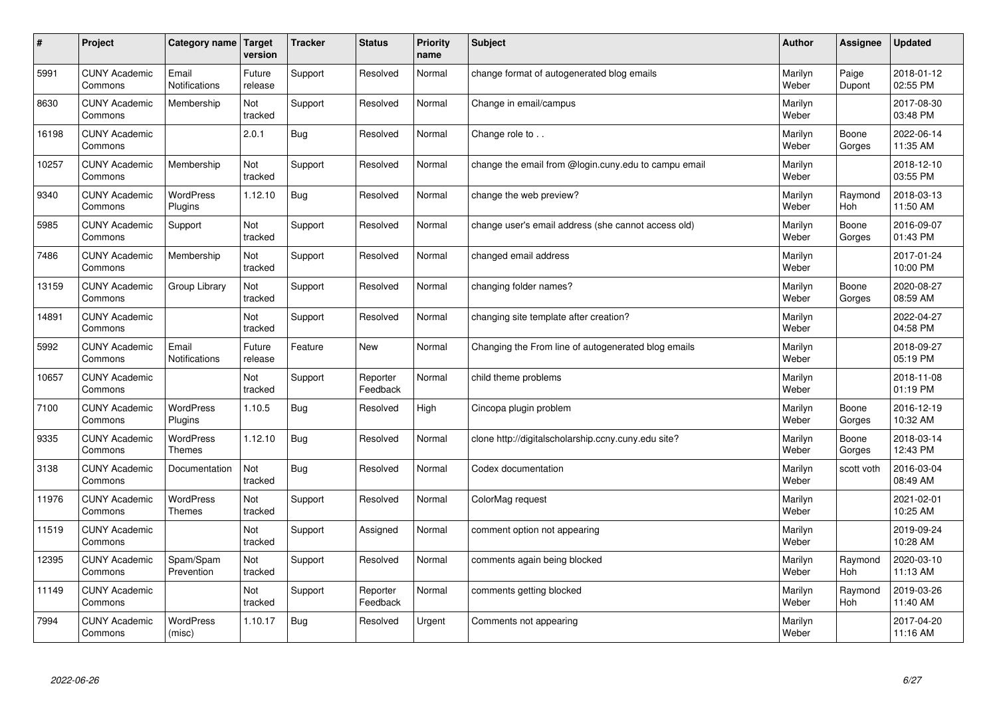| #     | Project                         | Category name   Target            | version           | <b>Tracker</b> | <b>Status</b>        | <b>Priority</b><br>name | <b>Subject</b>                                       | <b>Author</b>    | Assignee              | <b>Updated</b>         |
|-------|---------------------------------|-----------------------------------|-------------------|----------------|----------------------|-------------------------|------------------------------------------------------|------------------|-----------------------|------------------------|
| 5991  | <b>CUNY Academic</b><br>Commons | Email<br>Notifications            | Future<br>release | Support        | Resolved             | Normal                  | change format of autogenerated blog emails           | Marilyn<br>Weber | Paige<br>Dupont       | 2018-01-12<br>02:55 PM |
| 8630  | <b>CUNY Academic</b><br>Commons | Membership                        | Not<br>tracked    | Support        | Resolved             | Normal                  | Change in email/campus                               | Marilyn<br>Weber |                       | 2017-08-30<br>03:48 PM |
| 16198 | <b>CUNY Academic</b><br>Commons |                                   | 2.0.1             | Bug            | Resolved             | Normal                  | Change role to                                       | Marilyn<br>Weber | Boone<br>Gorges       | 2022-06-14<br>11:35 AM |
| 10257 | <b>CUNY Academic</b><br>Commons | Membership                        | Not<br>tracked    | Support        | Resolved             | Normal                  | change the email from @login.cuny.edu to campu email | Marilyn<br>Weber |                       | 2018-12-10<br>03:55 PM |
| 9340  | <b>CUNY Academic</b><br>Commons | <b>WordPress</b><br>Plugins       | 1.12.10           | Bug            | Resolved             | Normal                  | change the web preview?                              | Marilyn<br>Weber | Raymond<br>Hoh        | 2018-03-13<br>11:50 AM |
| 5985  | <b>CUNY Academic</b><br>Commons | Support                           | Not<br>tracked    | Support        | Resolved             | Normal                  | change user's email address (she cannot access old)  | Marilyn<br>Weber | Boone<br>Gorges       | 2016-09-07<br>01:43 PM |
| 7486  | <b>CUNY Academic</b><br>Commons | Membership                        | Not<br>tracked    | Support        | Resolved             | Normal                  | changed email address                                | Marilyn<br>Weber |                       | 2017-01-24<br>10:00 PM |
| 13159 | <b>CUNY Academic</b><br>Commons | Group Library                     | Not<br>tracked    | Support        | Resolved             | Normal                  | changing folder names?                               | Marilyn<br>Weber | Boone<br>Gorges       | 2020-08-27<br>08:59 AM |
| 14891 | <b>CUNY Academic</b><br>Commons |                                   | Not<br>tracked    | Support        | Resolved             | Normal                  | changing site template after creation?               | Marilyn<br>Weber |                       | 2022-04-27<br>04:58 PM |
| 5992  | <b>CUNY Academic</b><br>Commons | Email<br><b>Notifications</b>     | Future<br>release | Feature        | <b>New</b>           | Normal                  | Changing the From line of autogenerated blog emails  | Marilyn<br>Weber |                       | 2018-09-27<br>05:19 PM |
| 10657 | <b>CUNY Academic</b><br>Commons |                                   | Not<br>tracked    | Support        | Reporter<br>Feedback | Normal                  | child theme problems                                 | Marilyn<br>Weber |                       | 2018-11-08<br>01:19 PM |
| 7100  | <b>CUNY Academic</b><br>Commons | <b>WordPress</b><br>Plugins       | 1.10.5            | Bug            | Resolved             | High                    | Cincopa plugin problem                               | Marilyn<br>Weber | Boone<br>Gorges       | 2016-12-19<br>10:32 AM |
| 9335  | <b>CUNY Academic</b><br>Commons | <b>WordPress</b><br><b>Themes</b> | 1.12.10           | Bug            | Resolved             | Normal                  | clone http://digitalscholarship.ccny.cuny.edu site?  | Marilyn<br>Weber | Boone<br>Gorges       | 2018-03-14<br>12:43 PM |
| 3138  | <b>CUNY Academic</b><br>Commons | Documentation                     | Not<br>tracked    | Bug            | Resolved             | Normal                  | Codex documentation                                  | Marilyn<br>Weber | scott voth            | 2016-03-04<br>08:49 AM |
| 11976 | <b>CUNY Academic</b><br>Commons | <b>WordPress</b><br><b>Themes</b> | Not<br>tracked    | Support        | Resolved             | Normal                  | ColorMag request                                     | Marilyn<br>Weber |                       | 2021-02-01<br>10:25 AM |
| 11519 | <b>CUNY Academic</b><br>Commons |                                   | Not<br>tracked    | Support        | Assigned             | Normal                  | comment option not appearing                         | Marilyn<br>Weber |                       | 2019-09-24<br>10:28 AM |
| 12395 | <b>CUNY Academic</b><br>Commons | Spam/Spam<br>Prevention           | Not<br>tracked    | Support        | Resolved             | Normal                  | comments again being blocked                         | Marilyn<br>Weber | Raymond<br>Hoh        | 2020-03-10<br>11:13 AM |
| 11149 | <b>CUNY Academic</b><br>Commons |                                   | Not<br>tracked    | Support        | Reporter<br>Feedback | Normal                  | comments getting blocked                             | Marilyn<br>Weber | Raymond<br><b>Hoh</b> | 2019-03-26<br>11:40 AM |
| 7994  | <b>CUNY Academic</b><br>Commons | <b>WordPress</b><br>(misc)        | 1.10.17           | Bug            | Resolved             | Urgent                  | Comments not appearing                               | Marilyn<br>Weber |                       | 2017-04-20<br>11:16 AM |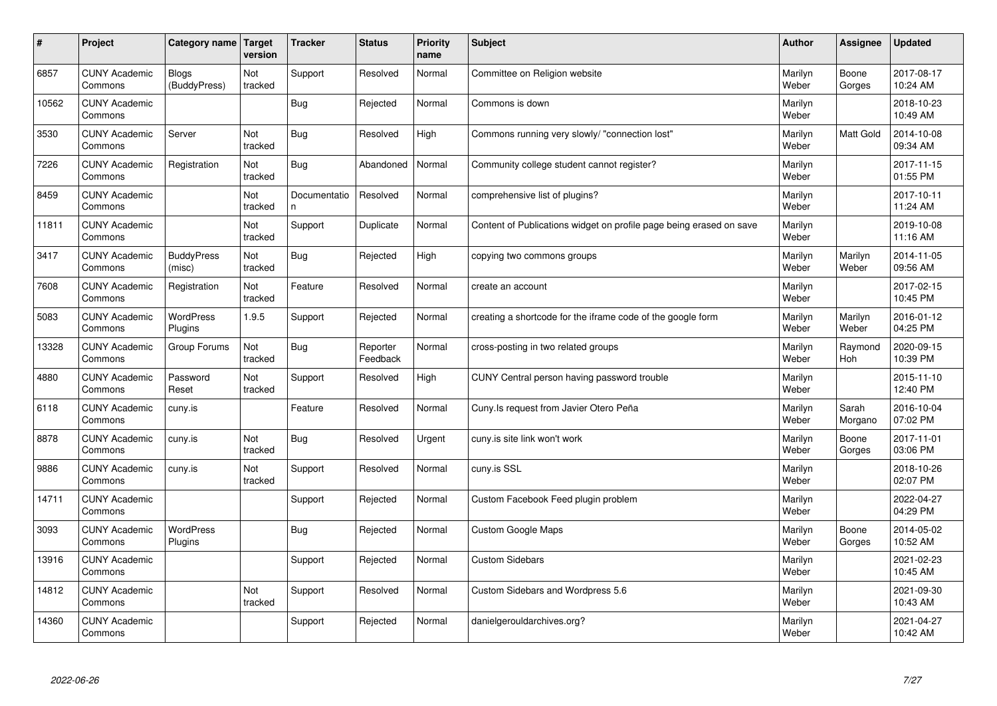| #     | Project                         | Category name                | Target<br>version | <b>Tracker</b>     | <b>Status</b>        | <b>Priority</b><br>name | <b>Subject</b>                                                      | <b>Author</b>    | Assignee         | <b>Updated</b>         |
|-------|---------------------------------|------------------------------|-------------------|--------------------|----------------------|-------------------------|---------------------------------------------------------------------|------------------|------------------|------------------------|
| 6857  | <b>CUNY Academic</b><br>Commons | <b>Blogs</b><br>(BuddyPress) | Not<br>tracked    | Support            | Resolved             | Normal                  | Committee on Religion website                                       | Marilyn<br>Weber | Boone<br>Gorges  | 2017-08-17<br>10:24 AM |
| 10562 | <b>CUNY Academic</b><br>Commons |                              |                   | Bug                | Rejected             | Normal                  | Commons is down                                                     | Marilyn<br>Weber |                  | 2018-10-23<br>10:49 AM |
| 3530  | <b>CUNY Academic</b><br>Commons | Server                       | Not<br>tracked    | Bug                | Resolved             | High                    | Commons running very slowly/ "connection lost"                      | Marilyn<br>Weber | <b>Matt Gold</b> | 2014-10-08<br>09:34 AM |
| 7226  | <b>CUNY Academic</b><br>Commons | Registration                 | Not<br>tracked    | Bug                | Abandoned            | Normal                  | Community college student cannot register?                          | Marilyn<br>Weber |                  | 2017-11-15<br>01:55 PM |
| 8459  | <b>CUNY Academic</b><br>Commons |                              | Not<br>tracked    | Documentatio<br>n. | Resolved             | Normal                  | comprehensive list of plugins?                                      | Marilyn<br>Weber |                  | 2017-10-11<br>11:24 AM |
| 11811 | <b>CUNY Academic</b><br>Commons |                              | Not<br>tracked    | Support            | Duplicate            | Normal                  | Content of Publications widget on profile page being erased on save | Marilyn<br>Weber |                  | 2019-10-08<br>11:16 AM |
| 3417  | <b>CUNY Academic</b><br>Commons | <b>BuddyPress</b><br>(misc)  | Not<br>tracked    | Bug                | Rejected             | High                    | copying two commons groups                                          | Marilyn<br>Weber | Marilyn<br>Weber | 2014-11-05<br>09:56 AM |
| 7608  | <b>CUNY Academic</b><br>Commons | Registration                 | Not<br>tracked    | Feature            | Resolved             | Normal                  | create an account                                                   | Marilyn<br>Weber |                  | 2017-02-15<br>10:45 PM |
| 5083  | <b>CUNY Academic</b><br>Commons | <b>WordPress</b><br>Plugins  | 1.9.5             | Support            | Rejected             | Normal                  | creating a shortcode for the iframe code of the google form         | Marilyn<br>Weber | Marilyn<br>Weber | 2016-01-12<br>04:25 PM |
| 13328 | <b>CUNY Academic</b><br>Commons | Group Forums                 | Not<br>tracked    | Bug                | Reporter<br>Feedback | Normal                  | cross-posting in two related groups                                 | Marilyn<br>Weber | Raymond<br>Hoh   | 2020-09-15<br>10:39 PM |
| 4880  | <b>CUNY Academic</b><br>Commons | Password<br>Reset            | Not<br>tracked    | Support            | Resolved             | High                    | CUNY Central person having password trouble                         | Marilyn<br>Weber |                  | 2015-11-10<br>12:40 PM |
| 6118  | <b>CUNY Academic</b><br>Commons | cuny.is                      |                   | Feature            | Resolved             | Normal                  | Cuny. Is request from Javier Otero Peña                             | Marilyn<br>Weber | Sarah<br>Morgano | 2016-10-04<br>07:02 PM |
| 8878  | <b>CUNY Academic</b><br>Commons | cuny.is                      | Not<br>tracked    | <b>Bug</b>         | Resolved             | Urgent                  | cuny is site link won't work                                        | Marilyn<br>Weber | Boone<br>Gorges  | 2017-11-01<br>03:06 PM |
| 9886  | <b>CUNY Academic</b><br>Commons | cuny.is                      | Not<br>tracked    | Support            | Resolved             | Normal                  | cuny.is SSL                                                         | Marilyn<br>Weber |                  | 2018-10-26<br>02:07 PM |
| 14711 | <b>CUNY Academic</b><br>Commons |                              |                   | Support            | Rejected             | Normal                  | Custom Facebook Feed plugin problem                                 | Marilyn<br>Weber |                  | 2022-04-27<br>04:29 PM |
| 3093  | <b>CUNY Academic</b><br>Commons | <b>WordPress</b><br>Plugins  |                   | Bug                | Rejected             | Normal                  | <b>Custom Google Maps</b>                                           | Marilyn<br>Weber | Boone<br>Gorges  | 2014-05-02<br>10:52 AM |
| 13916 | <b>CUNY Academic</b><br>Commons |                              |                   | Support            | Rejected             | Normal                  | <b>Custom Sidebars</b>                                              | Marilyn<br>Weber |                  | 2021-02-23<br>10:45 AM |
| 14812 | <b>CUNY Academic</b><br>Commons |                              | Not<br>tracked    | Support            | Resolved             | Normal                  | Custom Sidebars and Wordpress 5.6                                   | Marilyn<br>Weber |                  | 2021-09-30<br>10:43 AM |
| 14360 | <b>CUNY Academic</b><br>Commons |                              |                   | Support            | Rejected             | Normal                  | danielgerouldarchives.org?                                          | Marilyn<br>Weber |                  | 2021-04-27<br>10:42 AM |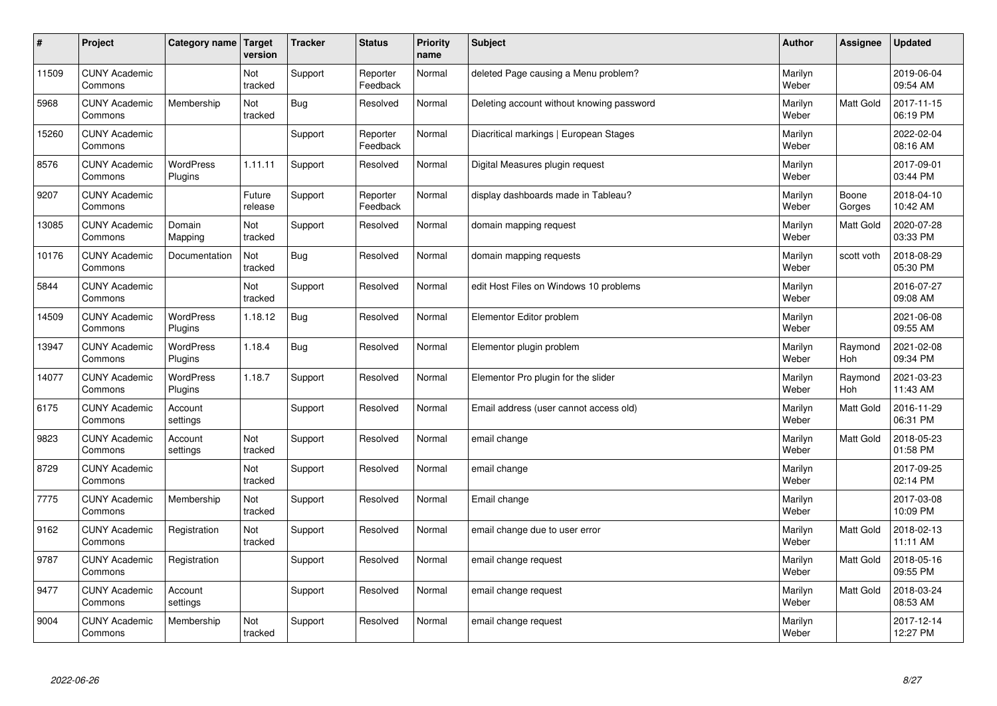| $\sharp$ | Project                         | Category name   Target      | version           | <b>Tracker</b> | <b>Status</b>        | <b>Priority</b><br>name | <b>Subject</b>                            | <b>Author</b>    | Assignee              | <b>Updated</b>         |
|----------|---------------------------------|-----------------------------|-------------------|----------------|----------------------|-------------------------|-------------------------------------------|------------------|-----------------------|------------------------|
| 11509    | <b>CUNY Academic</b><br>Commons |                             | Not<br>tracked    | Support        | Reporter<br>Feedback | Normal                  | deleted Page causing a Menu problem?      | Marilyn<br>Weber |                       | 2019-06-04<br>09:54 AM |
| 5968     | <b>CUNY Academic</b><br>Commons | Membership                  | Not<br>tracked    | Bug            | Resolved             | Normal                  | Deleting account without knowing password | Marilyn<br>Weber | <b>Matt Gold</b>      | 2017-11-15<br>06:19 PM |
| 15260    | <b>CUNY Academic</b><br>Commons |                             |                   | Support        | Reporter<br>Feedback | Normal                  | Diacritical markings   European Stages    | Marilyn<br>Weber |                       | 2022-02-04<br>08:16 AM |
| 8576     | <b>CUNY Academic</b><br>Commons | <b>WordPress</b><br>Plugins | 1.11.11           | Support        | Resolved             | Normal                  | Digital Measures plugin request           | Marilyn<br>Weber |                       | 2017-09-01<br>03:44 PM |
| 9207     | <b>CUNY Academic</b><br>Commons |                             | Future<br>release | Support        | Reporter<br>Feedback | Normal                  | display dashboards made in Tableau?       | Marilyn<br>Weber | Boone<br>Gorges       | 2018-04-10<br>10:42 AM |
| 13085    | <b>CUNY Academic</b><br>Commons | Domain<br>Mapping           | Not<br>tracked    | Support        | Resolved             | Normal                  | domain mapping request                    | Marilyn<br>Weber | <b>Matt Gold</b>      | 2020-07-28<br>03:33 PM |
| 10176    | <b>CUNY Academic</b><br>Commons | Documentation               | Not<br>tracked    | <b>Bug</b>     | Resolved             | Normal                  | domain mapping requests                   | Marilyn<br>Weber | scott voth            | 2018-08-29<br>05:30 PM |
| 5844     | <b>CUNY Academic</b><br>Commons |                             | Not<br>tracked    | Support        | Resolved             | Normal                  | edit Host Files on Windows 10 problems    | Marilyn<br>Weber |                       | 2016-07-27<br>09:08 AM |
| 14509    | <b>CUNY Academic</b><br>Commons | <b>WordPress</b><br>Plugins | 1.18.12           | Bug            | Resolved             | Normal                  | Elementor Editor problem                  | Marilyn<br>Weber |                       | 2021-06-08<br>09:55 AM |
| 13947    | <b>CUNY Academic</b><br>Commons | <b>WordPress</b><br>Plugins | 1.18.4            | Bug            | Resolved             | Normal                  | Elementor plugin problem                  | Marilyn<br>Weber | Raymond<br><b>Hoh</b> | 2021-02-08<br>09:34 PM |
| 14077    | <b>CUNY Academic</b><br>Commons | <b>WordPress</b><br>Plugins | 1.18.7            | Support        | Resolved             | Normal                  | Elementor Pro plugin for the slider       | Marilyn<br>Weber | Raymond<br><b>Hoh</b> | 2021-03-23<br>11:43 AM |
| 6175     | <b>CUNY Academic</b><br>Commons | Account<br>settings         |                   | Support        | Resolved             | Normal                  | Email address (user cannot access old)    | Marilyn<br>Weber | Matt Gold             | 2016-11-29<br>06:31 PM |
| 9823     | <b>CUNY Academic</b><br>Commons | Account<br>settings         | Not<br>tracked    | Support        | Resolved             | Normal                  | email change                              | Marilyn<br>Weber | <b>Matt Gold</b>      | 2018-05-23<br>01:58 PM |
| 8729     | <b>CUNY Academic</b><br>Commons |                             | Not<br>tracked    | Support        | Resolved             | Normal                  | email change                              | Marilyn<br>Weber |                       | 2017-09-25<br>02:14 PM |
| 7775     | <b>CUNY Academic</b><br>Commons | Membership                  | Not<br>tracked    | Support        | Resolved             | Normal                  | Email change                              | Marilyn<br>Weber |                       | 2017-03-08<br>10:09 PM |
| 9162     | <b>CUNY Academic</b><br>Commons | Registration                | Not<br>tracked    | Support        | Resolved             | Normal                  | email change due to user error            | Marilyn<br>Weber | <b>Matt Gold</b>      | 2018-02-13<br>11:11 AM |
| 9787     | <b>CUNY Academic</b><br>Commons | Registration                |                   | Support        | Resolved             | Normal                  | email change request                      | Marilyn<br>Weber | <b>Matt Gold</b>      | 2018-05-16<br>09:55 PM |
| 9477     | <b>CUNY Academic</b><br>Commons | Account<br>settings         |                   | Support        | Resolved             | Normal                  | email change request                      | Marilyn<br>Weber | <b>Matt Gold</b>      | 2018-03-24<br>08:53 AM |
| 9004     | <b>CUNY Academic</b><br>Commons | Membership                  | Not<br>tracked    | Support        | Resolved             | Normal                  | email change request                      | Marilyn<br>Weber |                       | 2017-12-14<br>12:27 PM |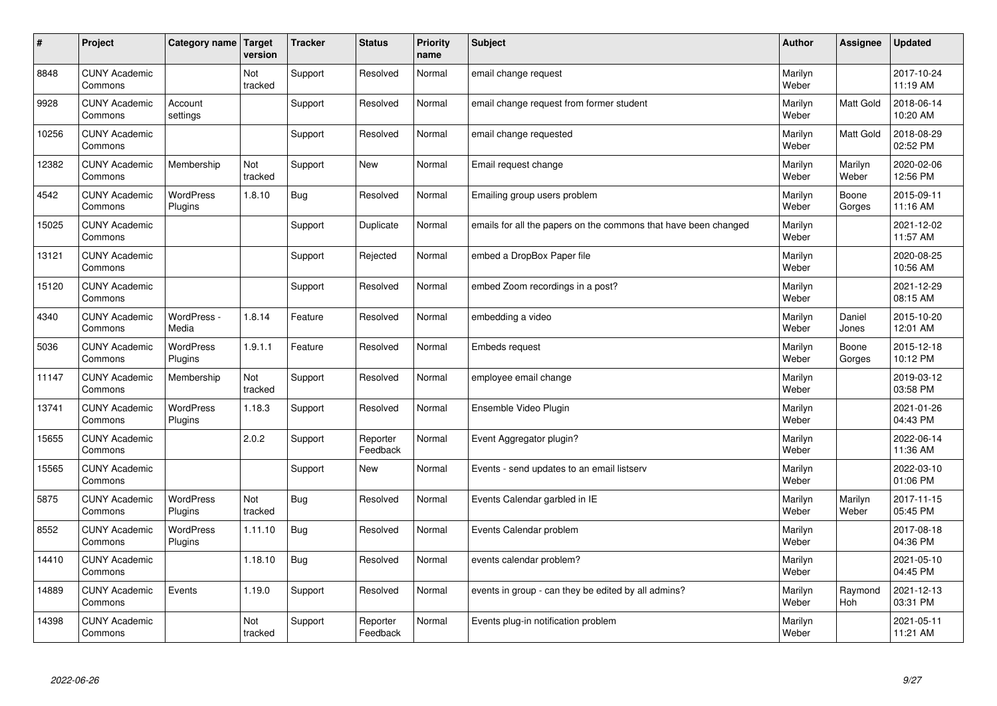| #     | Project                         | Category name   Target | version        | <b>Tracker</b> | <b>Status</b>        | <b>Priority</b><br>name | <b>Subject</b>                                                  | <b>Author</b>    | <b>Assignee</b>  | <b>Updated</b>         |
|-------|---------------------------------|------------------------|----------------|----------------|----------------------|-------------------------|-----------------------------------------------------------------|------------------|------------------|------------------------|
| 8848  | <b>CUNY Academic</b><br>Commons |                        | Not<br>tracked | Support        | Resolved             | Normal                  | email change request                                            | Marilyn<br>Weber |                  | 2017-10-24<br>11:19 AM |
| 9928  | <b>CUNY Academic</b><br>Commons | Account<br>settings    |                | Support        | Resolved             | Normal                  | email change request from former student                        | Marilyn<br>Weber | <b>Matt Gold</b> | 2018-06-14<br>10:20 AM |
| 10256 | <b>CUNY Academic</b><br>Commons |                        |                | Support        | Resolved             | Normal                  | email change requested                                          | Marilyn<br>Weber | Matt Gold        | 2018-08-29<br>02:52 PM |
| 12382 | <b>CUNY Academic</b><br>Commons | Membership             | Not<br>tracked | Support        | <b>New</b>           | Normal                  | Email request change                                            | Marilyn<br>Weber | Marilyn<br>Weber | 2020-02-06<br>12:56 PM |
| 4542  | <b>CUNY Academic</b><br>Commons | WordPress<br>Plugins   | 1.8.10         | Bug            | Resolved             | Normal                  | Emailing group users problem                                    | Marilyn<br>Weber | Boone<br>Gorges  | 2015-09-11<br>11:16 AM |
| 15025 | <b>CUNY Academic</b><br>Commons |                        |                | Support        | Duplicate            | Normal                  | emails for all the papers on the commons that have been changed | Marilyn<br>Weber |                  | 2021-12-02<br>11:57 AM |
| 13121 | <b>CUNY Academic</b><br>Commons |                        |                | Support        | Rejected             | Normal                  | embed a DropBox Paper file                                      | Marilyn<br>Weber |                  | 2020-08-25<br>10:56 AM |
| 15120 | <b>CUNY Academic</b><br>Commons |                        |                | Support        | Resolved             | Normal                  | embed Zoom recordings in a post?                                | Marilyn<br>Weber |                  | 2021-12-29<br>08:15 AM |
| 4340  | <b>CUNY Academic</b><br>Commons | WordPress -<br>Media   | 1.8.14         | Feature        | Resolved             | Normal                  | embedding a video                                               | Marilyn<br>Weber | Daniel<br>Jones  | 2015-10-20<br>12:01 AM |
| 5036  | <b>CUNY Academic</b><br>Commons | WordPress<br>Plugins   | 1.9.1.1        | Feature        | Resolved             | Normal                  | <b>Embeds request</b>                                           | Marilyn<br>Weber | Boone<br>Gorges  | 2015-12-18<br>10:12 PM |
| 11147 | <b>CUNY Academic</b><br>Commons | Membership             | Not<br>tracked | Support        | Resolved             | Normal                  | employee email change                                           | Marilyn<br>Weber |                  | 2019-03-12<br>03:58 PM |
| 13741 | <b>CUNY Academic</b><br>Commons | WordPress<br>Plugins   | 1.18.3         | Support        | Resolved             | Normal                  | Ensemble Video Plugin                                           | Marilyn<br>Weber |                  | 2021-01-26<br>04:43 PM |
| 15655 | <b>CUNY Academic</b><br>Commons |                        | 2.0.2          | Support        | Reporter<br>Feedback | Normal                  | Event Aggregator plugin?                                        | Marilyn<br>Weber |                  | 2022-06-14<br>11:36 AM |
| 15565 | <b>CUNY Academic</b><br>Commons |                        |                | Support        | <b>New</b>           | Normal                  | Events - send updates to an email listserv                      | Marilyn<br>Weber |                  | 2022-03-10<br>01:06 PM |
| 5875  | <b>CUNY Academic</b><br>Commons | WordPress<br>Plugins   | Not<br>tracked | <b>Bug</b>     | Resolved             | Normal                  | Events Calendar garbled in IE                                   | Marilyn<br>Weber | Marilyn<br>Weber | 2017-11-15<br>05:45 PM |
| 8552  | <b>CUNY Academic</b><br>Commons | WordPress<br>Plugins   | 1.11.10        | Bug            | Resolved             | Normal                  | Events Calendar problem                                         | Marilyn<br>Weber |                  | 2017-08-18<br>04:36 PM |
| 14410 | <b>CUNY Academic</b><br>Commons |                        | 1.18.10        | <b>Bug</b>     | Resolved             | Normal                  | events calendar problem?                                        | Marilyn<br>Weber |                  | 2021-05-10<br>04:45 PM |
| 14889 | <b>CUNY Academic</b><br>Commons | Events                 | 1.19.0         | Support        | Resolved             | Normal                  | events in group - can they be edited by all admins?             | Marilyn<br>Weber | Raymond<br>Hoh   | 2021-12-13<br>03:31 PM |
| 14398 | <b>CUNY Academic</b><br>Commons |                        | Not<br>tracked | Support        | Reporter<br>Feedback | Normal                  | Events plug-in notification problem                             | Marilyn<br>Weber |                  | 2021-05-11<br>11:21 AM |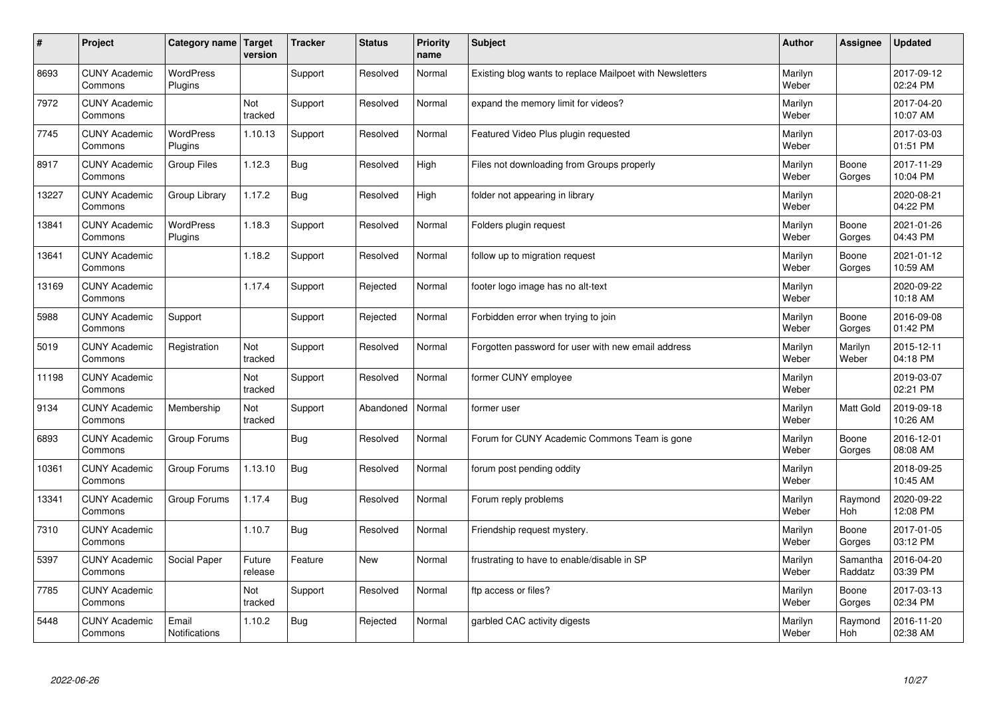| $\sharp$ | Project                         | Category name   Target        | version           | <b>Tracker</b> | <b>Status</b> | <b>Priority</b><br>name | <b>Subject</b>                                           | <b>Author</b>    | Assignee              | <b>Updated</b>         |
|----------|---------------------------------|-------------------------------|-------------------|----------------|---------------|-------------------------|----------------------------------------------------------|------------------|-----------------------|------------------------|
| 8693     | <b>CUNY Academic</b><br>Commons | <b>WordPress</b><br>Plugins   |                   | Support        | Resolved      | Normal                  | Existing blog wants to replace Mailpoet with Newsletters | Marilyn<br>Weber |                       | 2017-09-12<br>02:24 PM |
| 7972     | <b>CUNY Academic</b><br>Commons |                               | Not<br>tracked    | Support        | Resolved      | Normal                  | expand the memory limit for videos?                      | Marilyn<br>Weber |                       | 2017-04-20<br>10:07 AM |
| 7745     | <b>CUNY Academic</b><br>Commons | <b>WordPress</b><br>Plugins   | 1.10.13           | Support        | Resolved      | Normal                  | Featured Video Plus plugin requested                     | Marilyn<br>Weber |                       | 2017-03-03<br>01:51 PM |
| 8917     | <b>CUNY Academic</b><br>Commons | <b>Group Files</b>            | 1.12.3            | <b>Bug</b>     | Resolved      | High                    | Files not downloading from Groups properly               | Marilyn<br>Weber | Boone<br>Gorges       | 2017-11-29<br>10:04 PM |
| 13227    | <b>CUNY Academic</b><br>Commons | Group Library                 | 1.17.2            | <b>Bug</b>     | Resolved      | High                    | folder not appearing in library                          | Marilyn<br>Weber |                       | 2020-08-21<br>04:22 PM |
| 13841    | <b>CUNY Academic</b><br>Commons | <b>WordPress</b><br>Plugins   | 1.18.3            | Support        | Resolved      | Normal                  | Folders plugin request                                   | Marilyn<br>Weber | Boone<br>Gorges       | 2021-01-26<br>04:43 PM |
| 13641    | <b>CUNY Academic</b><br>Commons |                               | 1.18.2            | Support        | Resolved      | Normal                  | follow up to migration request                           | Marilyn<br>Weber | Boone<br>Gorges       | 2021-01-12<br>10:59 AM |
| 13169    | <b>CUNY Academic</b><br>Commons |                               | 1.17.4            | Support        | Rejected      | Normal                  | footer logo image has no alt-text                        | Marilyn<br>Weber |                       | 2020-09-22<br>10:18 AM |
| 5988     | <b>CUNY Academic</b><br>Commons | Support                       |                   | Support        | Rejected      | Normal                  | Forbidden error when trying to join                      | Marilyn<br>Weber | Boone<br>Gorges       | 2016-09-08<br>01:42 PM |
| 5019     | <b>CUNY Academic</b><br>Commons | Registration                  | Not<br>tracked    | Support        | Resolved      | Normal                  | Forgotten password for user with new email address       | Marilyn<br>Weber | Marilyn<br>Weber      | 2015-12-11<br>04:18 PM |
| 11198    | <b>CUNY Academic</b><br>Commons |                               | Not<br>tracked    | Support        | Resolved      | Normal                  | former CUNY employee                                     | Marilyn<br>Weber |                       | 2019-03-07<br>02:21 PM |
| 9134     | <b>CUNY Academic</b><br>Commons | Membership                    | Not<br>tracked    | Support        | Abandoned     | Normal                  | former user                                              | Marilyn<br>Weber | Matt Gold             | 2019-09-18<br>10:26 AM |
| 6893     | <b>CUNY Academic</b><br>Commons | Group Forums                  |                   | Bug            | Resolved      | Normal                  | Forum for CUNY Academic Commons Team is gone             | Marilyn<br>Weber | Boone<br>Gorges       | 2016-12-01<br>08:08 AM |
| 10361    | <b>CUNY Academic</b><br>Commons | Group Forums                  | 1.13.10           | Bug            | Resolved      | Normal                  | forum post pending oddity                                | Marilyn<br>Weber |                       | 2018-09-25<br>10:45 AM |
| 13341    | <b>CUNY Academic</b><br>Commons | Group Forums                  | 1.17.4            | <b>Bug</b>     | Resolved      | Normal                  | Forum reply problems                                     | Marilyn<br>Weber | Raymond<br><b>Hoh</b> | 2020-09-22<br>12:08 PM |
| 7310     | <b>CUNY Academic</b><br>Commons |                               | 1.10.7            | Bug            | Resolved      | Normal                  | Friendship request mystery.                              | Marilyn<br>Weber | Boone<br>Gorges       | 2017-01-05<br>03:12 PM |
| 5397     | <b>CUNY Academic</b><br>Commons | Social Paper                  | Future<br>release | Feature        | <b>New</b>    | Normal                  | frustrating to have to enable/disable in SP              | Marilyn<br>Weber | Samantha<br>Raddatz   | 2016-04-20<br>03:39 PM |
| 7785     | <b>CUNY Academic</b><br>Commons |                               | Not<br>tracked    | Support        | Resolved      | Normal                  | ftp access or files?                                     | Marilyn<br>Weber | Boone<br>Gorges       | 2017-03-13<br>02:34 PM |
| 5448     | <b>CUNY Academic</b><br>Commons | Email<br><b>Notifications</b> | 1.10.2            | Bug            | Rejected      | Normal                  | garbled CAC activity digests                             | Marilyn<br>Weber | Raymond<br>Hoh        | 2016-11-20<br>02:38 AM |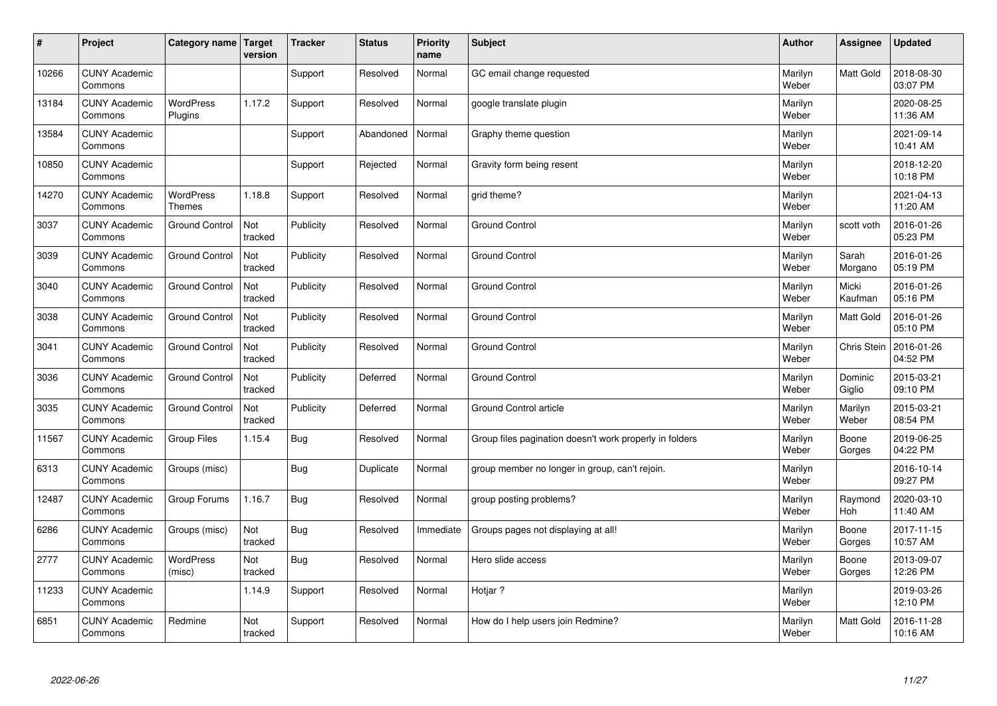| #     | Project                         | Category name   Target            | version        | <b>Tracker</b> | <b>Status</b> | <b>Priority</b><br>name | <b>Subject</b>                                          | <b>Author</b>    | Assignee              | <b>Updated</b>         |
|-------|---------------------------------|-----------------------------------|----------------|----------------|---------------|-------------------------|---------------------------------------------------------|------------------|-----------------------|------------------------|
| 10266 | <b>CUNY Academic</b><br>Commons |                                   |                | Support        | Resolved      | Normal                  | GC email change requested                               | Marilyn<br>Weber | Matt Gold             | 2018-08-30<br>03:07 PM |
| 13184 | <b>CUNY Academic</b><br>Commons | <b>WordPress</b><br>Plugins       | 1.17.2         | Support        | Resolved      | Normal                  | google translate plugin                                 | Marilyn<br>Weber |                       | 2020-08-25<br>11:36 AM |
| 13584 | <b>CUNY Academic</b><br>Commons |                                   |                | Support        | Abandoned     | Normal                  | Graphy theme question                                   | Marilyn<br>Weber |                       | 2021-09-14<br>10:41 AM |
| 10850 | <b>CUNY Academic</b><br>Commons |                                   |                | Support        | Rejected      | Normal                  | Gravity form being resent                               | Marilyn<br>Weber |                       | 2018-12-20<br>10:18 PM |
| 14270 | <b>CUNY Academic</b><br>Commons | <b>WordPress</b><br><b>Themes</b> | 1.18.8         | Support        | Resolved      | Normal                  | grid theme?                                             | Marilyn<br>Weber |                       | 2021-04-13<br>11:20 AM |
| 3037  | <b>CUNY Academic</b><br>Commons | <b>Ground Control</b>             | Not<br>tracked | Publicity      | Resolved      | Normal                  | <b>Ground Control</b>                                   | Marilyn<br>Weber | scott voth            | 2016-01-26<br>05:23 PM |
| 3039  | <b>CUNY Academic</b><br>Commons | <b>Ground Control</b>             | Not<br>tracked | Publicity      | Resolved      | Normal                  | <b>Ground Control</b>                                   | Marilyn<br>Weber | Sarah<br>Morgano      | 2016-01-26<br>05:19 PM |
| 3040  | <b>CUNY Academic</b><br>Commons | <b>Ground Control</b>             | Not<br>tracked | Publicity      | Resolved      | Normal                  | <b>Ground Control</b>                                   | Marilyn<br>Weber | Micki<br>Kaufman      | 2016-01-26<br>05:16 PM |
| 3038  | <b>CUNY Academic</b><br>Commons | <b>Ground Control</b>             | Not<br>tracked | Publicity      | Resolved      | Normal                  | <b>Ground Control</b>                                   | Marilyn<br>Weber | <b>Matt Gold</b>      | 2016-01-26<br>05:10 PM |
| 3041  | <b>CUNY Academic</b><br>Commons | <b>Ground Control</b>             | Not<br>tracked | Publicity      | Resolved      | Normal                  | <b>Ground Control</b>                                   | Marilyn<br>Weber | <b>Chris Stein</b>    | 2016-01-26<br>04:52 PM |
| 3036  | <b>CUNY Academic</b><br>Commons | <b>Ground Control</b>             | Not<br>tracked | Publicity      | Deferred      | Normal                  | Ground Control                                          | Marilyn<br>Weber | Dominic<br>Giglio     | 2015-03-21<br>09:10 PM |
| 3035  | <b>CUNY Academic</b><br>Commons | <b>Ground Control</b>             | Not<br>tracked | Publicity      | Deferred      | Normal                  | Ground Control article                                  | Marilyn<br>Weber | Marilyn<br>Weber      | 2015-03-21<br>08:54 PM |
| 11567 | <b>CUNY Academic</b><br>Commons | <b>Group Files</b>                | 1.15.4         | Bug            | Resolved      | Normal                  | Group files pagination doesn't work properly in folders | Marilyn<br>Weber | Boone<br>Gorges       | 2019-06-25<br>04:22 PM |
| 6313  | <b>CUNY Academic</b><br>Commons | Groups (misc)                     |                | Bug            | Duplicate     | Normal                  | group member no longer in group, can't rejoin.          | Marilyn<br>Weber |                       | 2016-10-14<br>09:27 PM |
| 12487 | <b>CUNY Academic</b><br>Commons | Group Forums                      | 1.16.7         | <b>Bug</b>     | Resolved      | Normal                  | group posting problems?                                 | Marilyn<br>Weber | Raymond<br><b>Hoh</b> | 2020-03-10<br>11:40 AM |
| 6286  | <b>CUNY Academic</b><br>Commons | Groups (misc)                     | Not<br>tracked | Bug            | Resolved      | Immediate               | Groups pages not displaying at all!                     | Marilyn<br>Weber | Boone<br>Gorges       | 2017-11-15<br>10:57 AM |
| 2777  | <b>CUNY Academic</b><br>Commons | WordPress<br>(misc)               | Not<br>tracked | Bug            | Resolved      | Normal                  | Hero slide access                                       | Marilyn<br>Weber | Boone<br>Gorges       | 2013-09-07<br>12:26 PM |
| 11233 | <b>CUNY Academic</b><br>Commons |                                   | 1.14.9         | Support        | Resolved      | Normal                  | Hotjar ?                                                | Marilyn<br>Weber |                       | 2019-03-26<br>12:10 PM |
| 6851  | <b>CUNY Academic</b><br>Commons | Redmine                           | Not<br>tracked | Support        | Resolved      | Normal                  | How do I help users join Redmine?                       | Marilyn<br>Weber | <b>Matt Gold</b>      | 2016-11-28<br>10:16 AM |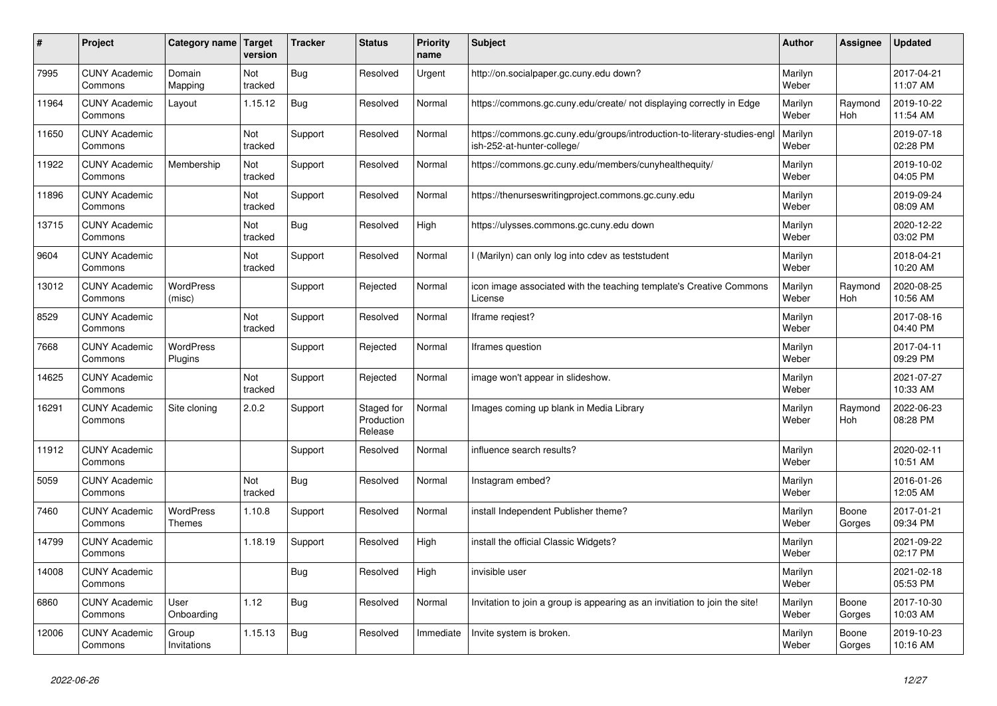| #     | Project                         | Category name        | Target<br>version | <b>Tracker</b> | <b>Status</b>                       | <b>Priority</b><br>name | Subject                                                                                               | Author           | Assignee        | <b>Updated</b>         |
|-------|---------------------------------|----------------------|-------------------|----------------|-------------------------------------|-------------------------|-------------------------------------------------------------------------------------------------------|------------------|-----------------|------------------------|
| 7995  | <b>CUNY Academic</b><br>Commons | Domain<br>Mapping    | Not<br>tracked    | Bug            | Resolved                            | Urgent                  | http://on.socialpaper.gc.cuny.edu down?                                                               | Marilyn<br>Weber |                 | 2017-04-21<br>11:07 AM |
| 11964 | <b>CUNY Academic</b><br>Commons | Layout               | 1.15.12           | Bug            | Resolved                            | Normal                  | https://commons.gc.cuny.edu/create/ not displaying correctly in Edge                                  | Marilyn<br>Weber | Raymond<br>Hoh  | 2019-10-22<br>11:54 AM |
| 11650 | <b>CUNY Academic</b><br>Commons |                      | Not<br>tracked    | Support        | Resolved                            | Normal                  | https://commons.gc.cuny.edu/groups/introduction-to-literary-studies-eng<br>ish-252-at-hunter-college/ | Marilyn<br>Weber |                 | 2019-07-18<br>02:28 PM |
| 11922 | <b>CUNY Academic</b><br>Commons | Membership           | Not<br>tracked    | Support        | Resolved                            | Normal                  | https://commons.gc.cuny.edu/members/cunyhealthequity/                                                 | Marilyn<br>Weber |                 | 2019-10-02<br>04:05 PM |
| 11896 | <b>CUNY Academic</b><br>Commons |                      | Not<br>tracked    | Support        | Resolved                            | Normal                  | https://thenurseswritingproject.commons.gc.cuny.edu                                                   | Marilyn<br>Weber |                 | 2019-09-24<br>08:09 AM |
| 13715 | <b>CUNY Academic</b><br>Commons |                      | Not<br>tracked    | Bug            | Resolved                            | High                    | https://ulysses.commons.gc.cuny.edu down                                                              | Marilyn<br>Weber |                 | 2020-12-22<br>03:02 PM |
| 9604  | <b>CUNY Academic</b><br>Commons |                      | Not<br>tracked    | Support        | Resolved                            | Normal                  | I (Marilyn) can only log into cdev as teststudent                                                     | Marilyn<br>Weber |                 | 2018-04-21<br>10:20 AM |
| 13012 | <b>CUNY Academic</b><br>Commons | WordPress<br>(misc)  |                   | Support        | Rejected                            | Normal                  | icon image associated with the teaching template's Creative Commons<br>License                        | Marilyn<br>Weber | Raymond<br>Hoh  | 2020-08-25<br>10:56 AM |
| 8529  | <b>CUNY Academic</b><br>Commons |                      | Not<br>tracked    | Support        | Resolved                            | Normal                  | Iframe regiest?                                                                                       | Marilyn<br>Weber |                 | 2017-08-16<br>04:40 PM |
| 7668  | <b>CUNY Academic</b><br>Commons | WordPress<br>Plugins |                   | Support        | Rejected                            | Normal                  | Iframes question                                                                                      | Marilyn<br>Weber |                 | 2017-04-11<br>09:29 PM |
| 14625 | <b>CUNY Academic</b><br>Commons |                      | Not<br>tracked    | Support        | Rejected                            | Normal                  | image won't appear in slideshow.                                                                      | Marilyn<br>Weber |                 | 2021-07-27<br>10:33 AM |
| 16291 | <b>CUNY Academic</b><br>Commons | Site cloning         | 2.0.2             | Support        | Staged for<br>Production<br>Release | Normal                  | Images coming up blank in Media Library                                                               | Marilyn<br>Weber | Raymond<br>Hoh  | 2022-06-23<br>08:28 PM |
| 11912 | <b>CUNY Academic</b><br>Commons |                      |                   | Support        | Resolved                            | Normal                  | influence search results?                                                                             | Marilyn<br>Weber |                 | 2020-02-11<br>10:51 AM |
| 5059  | <b>CUNY Academic</b><br>Commons |                      | Not<br>tracked    | Bug            | Resolved                            | Normal                  | Instagram embed?                                                                                      | Marilyn<br>Weber |                 | 2016-01-26<br>12:05 AM |
| 7460  | <b>CUNY Academic</b><br>Commons | WordPress<br>Themes  | 1.10.8            | Support        | Resolved                            | Normal                  | install Independent Publisher theme?                                                                  | Marilyn<br>Weber | Boone<br>Gorges | 2017-01-21<br>09:34 PM |
| 14799 | <b>CUNY Academic</b><br>Commons |                      | 1.18.19           | Support        | Resolved                            | High                    | install the official Classic Widgets?                                                                 | Marilyn<br>Weber |                 | 2021-09-22<br>02:17 PM |
| 14008 | <b>CUNY Academic</b><br>Commons |                      |                   | Bug            | Resolved                            | High                    | invisible user                                                                                        | Marilyn<br>Weber |                 | 2021-02-18<br>05:53 PM |
| 6860  | <b>CUNY Academic</b><br>Commons | User<br>Onboarding   | 1.12              | Bug            | Resolved                            | Normal                  | Invitation to join a group is appearing as an invitiation to join the site!                           | Marilyn<br>Weber | Boone<br>Gorges | 2017-10-30<br>10:03 AM |
| 12006 | <b>CUNY Academic</b><br>Commons | Group<br>Invitations | 1.15.13           | Bug            | Resolved                            | Immediate               | Invite system is broken.                                                                              | Marilyn<br>Weber | Boone<br>Gorges | 2019-10-23<br>10:16 AM |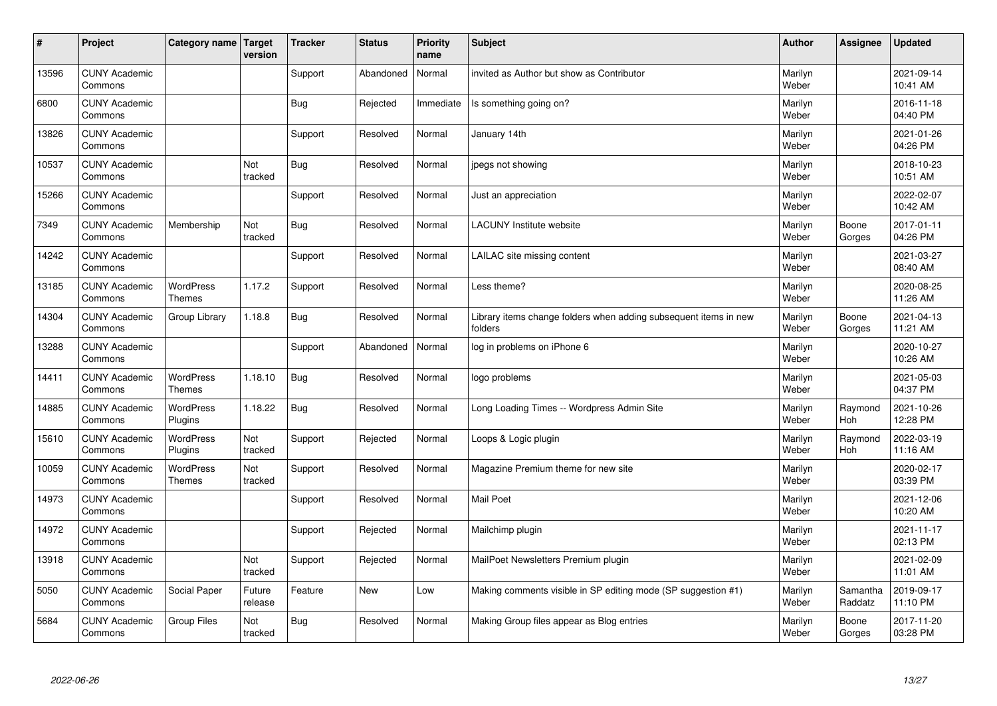| $\sharp$ | Project                         | Category name   Target            | version           | <b>Tracker</b> | <b>Status</b> | <b>Priority</b><br>name | <b>Subject</b>                                                              | <b>Author</b>    | Assignee              | <b>Updated</b>         |
|----------|---------------------------------|-----------------------------------|-------------------|----------------|---------------|-------------------------|-----------------------------------------------------------------------------|------------------|-----------------------|------------------------|
| 13596    | <b>CUNY Academic</b><br>Commons |                                   |                   | Support        | Abandoned     | Normal                  | invited as Author but show as Contributor                                   | Marilyn<br>Weber |                       | 2021-09-14<br>10:41 AM |
| 6800     | <b>CUNY Academic</b><br>Commons |                                   |                   | Bug            | Rejected      | Immediate               | Is something going on?                                                      | Marilyn<br>Weber |                       | 2016-11-18<br>04:40 PM |
| 13826    | <b>CUNY Academic</b><br>Commons |                                   |                   | Support        | Resolved      | Normal                  | January 14th                                                                | Marilyn<br>Weber |                       | 2021-01-26<br>04:26 PM |
| 10537    | <b>CUNY Academic</b><br>Commons |                                   | Not<br>tracked    | <b>Bug</b>     | Resolved      | Normal                  | jpegs not showing                                                           | Marilyn<br>Weber |                       | 2018-10-23<br>10:51 AM |
| 15266    | <b>CUNY Academic</b><br>Commons |                                   |                   | Support        | Resolved      | Normal                  | Just an appreciation                                                        | Marilyn<br>Weber |                       | 2022-02-07<br>10:42 AM |
| 7349     | <b>CUNY Academic</b><br>Commons | Membership                        | Not<br>tracked    | <b>Bug</b>     | Resolved      | Normal                  | <b>LACUNY Institute website</b>                                             | Marilyn<br>Weber | Boone<br>Gorges       | 2017-01-11<br>04:26 PM |
| 14242    | <b>CUNY Academic</b><br>Commons |                                   |                   | Support        | Resolved      | Normal                  | LAILAC site missing content                                                 | Marilyn<br>Weber |                       | 2021-03-27<br>08:40 AM |
| 13185    | <b>CUNY Academic</b><br>Commons | WordPress<br><b>Themes</b>        | 1.17.2            | Support        | Resolved      | Normal                  | Less theme?                                                                 | Marilyn<br>Weber |                       | 2020-08-25<br>11:26 AM |
| 14304    | <b>CUNY Academic</b><br>Commons | Group Library                     | 1.18.8            | <b>Bug</b>     | Resolved      | Normal                  | Library items change folders when adding subsequent items in new<br>folders | Marilyn<br>Weber | Boone<br>Gorges       | 2021-04-13<br>11:21 AM |
| 13288    | <b>CUNY Academic</b><br>Commons |                                   |                   | Support        | Abandoned     | Normal                  | log in problems on iPhone 6                                                 | Marilyn<br>Weber |                       | 2020-10-27<br>10:26 AM |
| 14411    | <b>CUNY Academic</b><br>Commons | <b>WordPress</b><br><b>Themes</b> | 1.18.10           | <b>Bug</b>     | Resolved      | Normal                  | logo problems                                                               | Marilyn<br>Weber |                       | 2021-05-03<br>04:37 PM |
| 14885    | <b>CUNY Academic</b><br>Commons | <b>WordPress</b><br>Plugins       | 1.18.22           | <b>Bug</b>     | Resolved      | Normal                  | Long Loading Times -- Wordpress Admin Site                                  | Marilyn<br>Weber | Raymond<br><b>Hoh</b> | 2021-10-26<br>12:28 PM |
| 15610    | <b>CUNY Academic</b><br>Commons | <b>WordPress</b><br>Plugins       | Not<br>tracked    | Support        | Rejected      | Normal                  | Loops & Logic plugin                                                        | Marilyn<br>Weber | Raymond<br>Hoh        | 2022-03-19<br>11:16 AM |
| 10059    | <b>CUNY Academic</b><br>Commons | <b>WordPress</b><br><b>Themes</b> | Not<br>tracked    | Support        | Resolved      | Normal                  | Magazine Premium theme for new site                                         | Marilyn<br>Weber |                       | 2020-02-17<br>03:39 PM |
| 14973    | <b>CUNY Academic</b><br>Commons |                                   |                   | Support        | Resolved      | Normal                  | <b>Mail Poet</b>                                                            | Marilyn<br>Weber |                       | 2021-12-06<br>10:20 AM |
| 14972    | <b>CUNY Academic</b><br>Commons |                                   |                   | Support        | Rejected      | Normal                  | Mailchimp plugin                                                            | Marilyn<br>Weber |                       | 2021-11-17<br>02:13 PM |
| 13918    | <b>CUNY Academic</b><br>Commons |                                   | Not<br>tracked    | Support        | Rejected      | Normal                  | MailPoet Newsletters Premium plugin                                         | Marilyn<br>Weber |                       | 2021-02-09<br>11:01 AM |
| 5050     | <b>CUNY Academic</b><br>Commons | Social Paper                      | Future<br>release | Feature        | New           | Low                     | Making comments visible in SP editing mode (SP suggestion #1)               | Marilyn<br>Weber | Samantha<br>Raddatz   | 2019-09-17<br>11:10 PM |
| 5684     | <b>CUNY Academic</b><br>Commons | <b>Group Files</b>                | Not<br>tracked    | Bug            | Resolved      | Normal                  | Making Group files appear as Blog entries                                   | Marilyn<br>Weber | Boone<br>Gorges       | 2017-11-20<br>03:28 PM |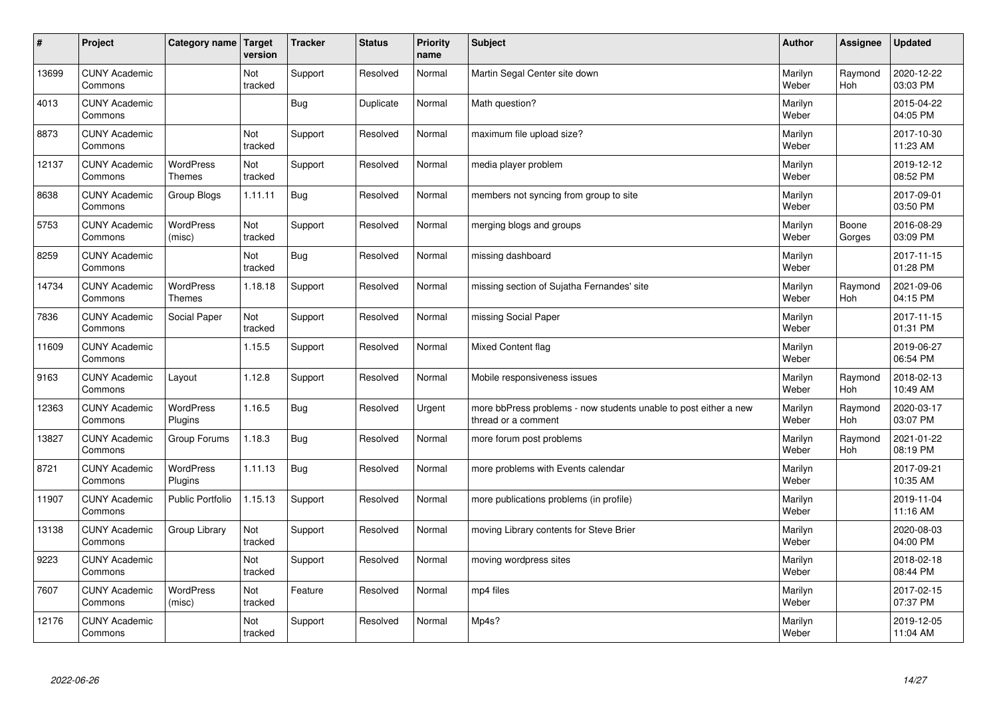| $\vert$ # | Project                         | Category name                     | Target<br>version | <b>Tracker</b> | <b>Status</b> | <b>Priority</b><br>name | <b>Subject</b>                                                                          | <b>Author</b>    | Assignee              | <b>Updated</b>         |
|-----------|---------------------------------|-----------------------------------|-------------------|----------------|---------------|-------------------------|-----------------------------------------------------------------------------------------|------------------|-----------------------|------------------------|
| 13699     | <b>CUNY Academic</b><br>Commons |                                   | Not<br>tracked    | Support        | Resolved      | Normal                  | Martin Segal Center site down                                                           | Marilyn<br>Weber | Raymond<br><b>Hoh</b> | 2020-12-22<br>03:03 PM |
| 4013      | <b>CUNY Academic</b><br>Commons |                                   |                   | Bug            | Duplicate     | Normal                  | Math question?                                                                          | Marilyn<br>Weber |                       | 2015-04-22<br>04:05 PM |
| 8873      | <b>CUNY Academic</b><br>Commons |                                   | Not<br>tracked    | Support        | Resolved      | Normal                  | maximum file upload size?                                                               | Marilyn<br>Weber |                       | 2017-10-30<br>11:23 AM |
| 12137     | <b>CUNY Academic</b><br>Commons | <b>WordPress</b><br><b>Themes</b> | Not<br>tracked    | Support        | Resolved      | Normal                  | media player problem                                                                    | Marilyn<br>Weber |                       | 2019-12-12<br>08:52 PM |
| 8638      | <b>CUNY Academic</b><br>Commons | Group Blogs                       | 1.11.11           | <b>Bug</b>     | Resolved      | Normal                  | members not syncing from group to site                                                  | Marilyn<br>Weber |                       | 2017-09-01<br>03:50 PM |
| 5753      | <b>CUNY Academic</b><br>Commons | WordPress<br>(misc)               | Not<br>tracked    | Support        | Resolved      | Normal                  | merging blogs and groups                                                                | Marilyn<br>Weber | Boone<br>Gorges       | 2016-08-29<br>03:09 PM |
| 8259      | <b>CUNY Academic</b><br>Commons |                                   | Not<br>tracked    | <b>Bug</b>     | Resolved      | Normal                  | missing dashboard                                                                       | Marilyn<br>Weber |                       | 2017-11-15<br>01:28 PM |
| 14734     | <b>CUNY Academic</b><br>Commons | WordPress<br>Themes               | 1.18.18           | Support        | Resolved      | Normal                  | missing section of Sujatha Fernandes' site                                              | Marilyn<br>Weber | Raymond<br>Hoh        | 2021-09-06<br>04:15 PM |
| 7836      | <b>CUNY Academic</b><br>Commons | Social Paper                      | Not<br>tracked    | Support        | Resolved      | Normal                  | missing Social Paper                                                                    | Marilyn<br>Weber |                       | 2017-11-15<br>01:31 PM |
| 11609     | <b>CUNY Academic</b><br>Commons |                                   | 1.15.5            | Support        | Resolved      | Normal                  | Mixed Content flag                                                                      | Marilyn<br>Weber |                       | 2019-06-27<br>06:54 PM |
| 9163      | <b>CUNY Academic</b><br>Commons | Layout                            | 1.12.8            | Support        | Resolved      | Normal                  | Mobile responsiveness issues                                                            | Marilyn<br>Weber | Raymond<br>Hoh        | 2018-02-13<br>10:49 AM |
| 12363     | <b>CUNY Academic</b><br>Commons | <b>WordPress</b><br>Plugins       | 1.16.5            | Bug            | Resolved      | Urgent                  | more bbPress problems - now students unable to post either a new<br>thread or a comment | Marilyn<br>Weber | Raymond<br>Hoh        | 2020-03-17<br>03:07 PM |
| 13827     | <b>CUNY Academic</b><br>Commons | Group Forums                      | 1.18.3            | <b>Bug</b>     | Resolved      | Normal                  | more forum post problems                                                                | Marilyn<br>Weber | Raymond<br>Hoh        | 2021-01-22<br>08:19 PM |
| 8721      | <b>CUNY Academic</b><br>Commons | WordPress<br>Plugins              | 1.11.13           | <b>Bug</b>     | Resolved      | Normal                  | more problems with Events calendar                                                      | Marilyn<br>Weber |                       | 2017-09-21<br>10:35 AM |
| 11907     | <b>CUNY Academic</b><br>Commons | <b>Public Portfolio</b>           | 1.15.13           | Support        | Resolved      | Normal                  | more publications problems (in profile)                                                 | Marilyn<br>Weber |                       | 2019-11-04<br>11:16 AM |
| 13138     | <b>CUNY Academic</b><br>Commons | Group Library                     | Not<br>tracked    | Support        | Resolved      | Normal                  | moving Library contents for Steve Brier                                                 | Marilyn<br>Weber |                       | 2020-08-03<br>04:00 PM |
| 9223      | <b>CUNY Academic</b><br>Commons |                                   | Not<br>tracked    | Support        | Resolved      | Normal                  | moving wordpress sites                                                                  | Marilyn<br>Weber |                       | 2018-02-18<br>08:44 PM |
| 7607      | <b>CUNY Academic</b><br>Commons | <b>WordPress</b><br>(misc)        | Not<br>tracked    | Feature        | Resolved      | Normal                  | mp4 files                                                                               | Marilyn<br>Weber |                       | 2017-02-15<br>07:37 PM |
| 12176     | <b>CUNY Academic</b><br>Commons |                                   | Not<br>tracked    | Support        | Resolved      | Normal                  | Mp4s?                                                                                   | Marilyn<br>Weber |                       | 2019-12-05<br>11:04 AM |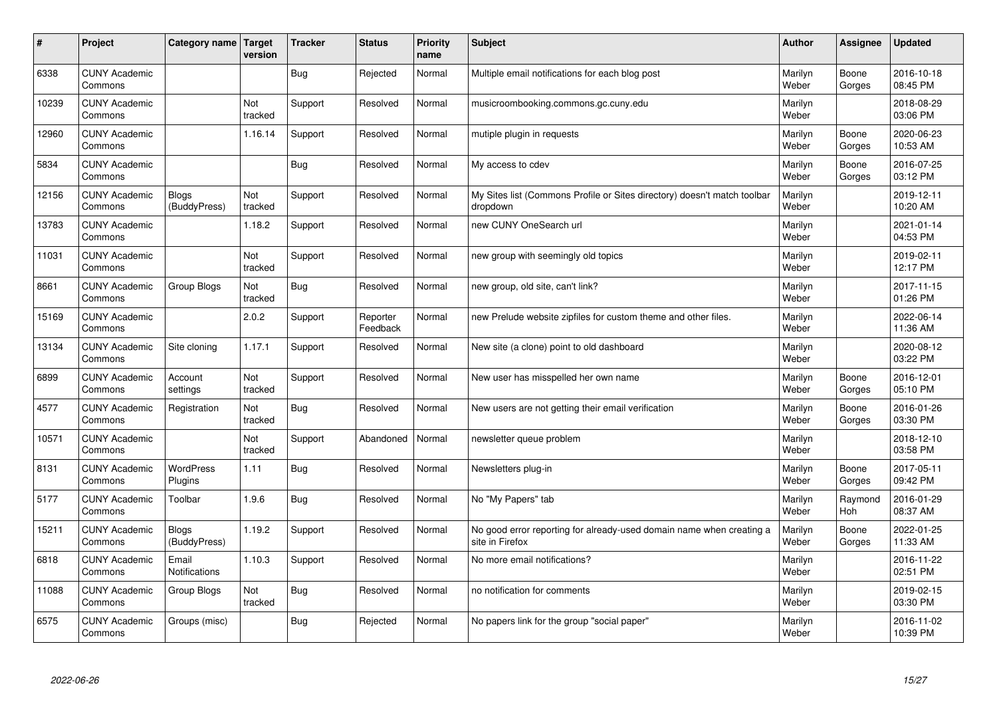| #     | Project                         | Category name   Target        | version        | <b>Tracker</b> | <b>Status</b>        | <b>Priority</b><br>name | <b>Subject</b>                                                                          | <b>Author</b>    | Assignee        | <b>Updated</b>         |
|-------|---------------------------------|-------------------------------|----------------|----------------|----------------------|-------------------------|-----------------------------------------------------------------------------------------|------------------|-----------------|------------------------|
| 6338  | <b>CUNY Academic</b><br>Commons |                               |                | Bug            | Rejected             | Normal                  | Multiple email notifications for each blog post                                         | Marilyn<br>Weber | Boone<br>Gorges | 2016-10-18<br>08:45 PM |
| 10239 | <b>CUNY Academic</b><br>Commons |                               | Not<br>tracked | Support        | Resolved             | Normal                  | musicroombooking.commons.gc.cuny.edu                                                    | Marilyn<br>Weber |                 | 2018-08-29<br>03:06 PM |
| 12960 | <b>CUNY Academic</b><br>Commons |                               | 1.16.14        | Support        | Resolved             | Normal                  | mutiple plugin in requests                                                              | Marilyn<br>Weber | Boone<br>Gorges | 2020-06-23<br>10:53 AM |
| 5834  | <b>CUNY Academic</b><br>Commons |                               |                | Bug            | Resolved             | Normal                  | My access to cdev                                                                       | Marilyn<br>Weber | Boone<br>Gorges | 2016-07-25<br>03:12 PM |
| 12156 | <b>CUNY Academic</b><br>Commons | <b>Blogs</b><br>(BuddyPress)  | Not<br>tracked | Support        | Resolved             | Normal                  | My Sites list (Commons Profile or Sites directory) doesn't match toolbar<br>dropdown    | Marilyn<br>Weber |                 | 2019-12-11<br>10:20 AM |
| 13783 | <b>CUNY Academic</b><br>Commons |                               | 1.18.2         | Support        | Resolved             | Normal                  | new CUNY OneSearch url                                                                  | Marilyn<br>Weber |                 | 2021-01-14<br>04:53 PM |
| 11031 | <b>CUNY Academic</b><br>Commons |                               | Not<br>tracked | Support        | Resolved             | Normal                  | new group with seemingly old topics                                                     | Marilyn<br>Weber |                 | 2019-02-11<br>12:17 PM |
| 8661  | <b>CUNY Academic</b><br>Commons | Group Blogs                   | Not<br>tracked | Bug            | Resolved             | Normal                  | new group, old site, can't link?                                                        | Marilyn<br>Weber |                 | 2017-11-15<br>01:26 PM |
| 15169 | <b>CUNY Academic</b><br>Commons |                               | 2.0.2          | Support        | Reporter<br>Feedback | Normal                  | new Prelude website zipfiles for custom theme and other files.                          | Marilyn<br>Weber |                 | 2022-06-14<br>11:36 AM |
| 13134 | <b>CUNY Academic</b><br>Commons | Site cloning                  | 1.17.1         | Support        | Resolved             | Normal                  | New site (a clone) point to old dashboard                                               | Marilyn<br>Weber |                 | 2020-08-12<br>03:22 PM |
| 6899  | <b>CUNY Academic</b><br>Commons | Account<br>settings           | Not<br>tracked | Support        | Resolved             | Normal                  | New user has misspelled her own name                                                    | Marilyn<br>Weber | Boone<br>Gorges | 2016-12-01<br>05:10 PM |
| 4577  | <b>CUNY Academic</b><br>Commons | Registration                  | Not<br>tracked | Bug            | Resolved             | Normal                  | New users are not getting their email verification                                      | Marilyn<br>Weber | Boone<br>Gorges | 2016-01-26<br>03:30 PM |
| 10571 | <b>CUNY Academic</b><br>Commons |                               | Not<br>tracked | Support        | Abandoned            | Normal                  | newsletter queue problem                                                                | Marilyn<br>Weber |                 | 2018-12-10<br>03:58 PM |
| 8131  | <b>CUNY Academic</b><br>Commons | <b>WordPress</b><br>Plugins   | 1.11           | <b>Bug</b>     | Resolved             | Normal                  | Newsletters plug-in                                                                     | Marilyn<br>Weber | Boone<br>Gorges | 2017-05-11<br>09:42 PM |
| 5177  | <b>CUNY Academic</b><br>Commons | Toolbar                       | 1.9.6          | Bug            | Resolved             | Normal                  | No "My Papers" tab                                                                      | Marilyn<br>Weber | Raymond<br>Hoh  | 2016-01-29<br>08:37 AM |
| 15211 | <b>CUNY Academic</b><br>Commons | <b>Blogs</b><br>(BuddyPress)  | 1.19.2         | Support        | Resolved             | Normal                  | No good error reporting for already-used domain name when creating a<br>site in Firefox | Marilyn<br>Weber | Boone<br>Gorges | 2022-01-25<br>11:33 AM |
| 6818  | <b>CUNY Academic</b><br>Commons | Email<br><b>Notifications</b> | 1.10.3         | Support        | Resolved             | Normal                  | No more email notifications?                                                            | Marilyn<br>Weber |                 | 2016-11-22<br>02:51 PM |
| 11088 | <b>CUNY Academic</b><br>Commons | Group Blogs                   | Not<br>tracked | Bug            | Resolved             | Normal                  | no notification for comments                                                            | Marilyn<br>Weber |                 | 2019-02-15<br>03:30 PM |
| 6575  | <b>CUNY Academic</b><br>Commons | Groups (misc)                 |                | <b>Bug</b>     | Rejected             | Normal                  | No papers link for the group "social paper"                                             | Marilyn<br>Weber |                 | 2016-11-02<br>10:39 PM |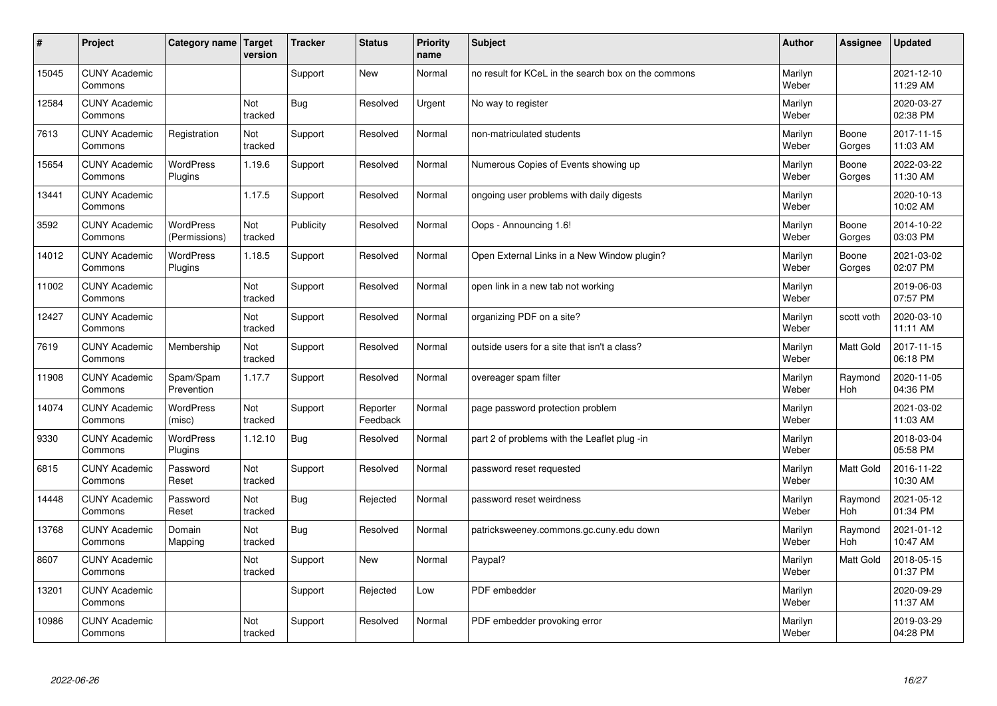| #     | Project                         | Category name   Target            | version        | <b>Tracker</b> | <b>Status</b>        | <b>Priority</b><br>name | <b>Subject</b>                                      | <b>Author</b>    | Assignee              | <b>Updated</b>         |
|-------|---------------------------------|-----------------------------------|----------------|----------------|----------------------|-------------------------|-----------------------------------------------------|------------------|-----------------------|------------------------|
| 15045 | <b>CUNY Academic</b><br>Commons |                                   |                | Support        | <b>New</b>           | Normal                  | no result for KCeL in the search box on the commons | Marilyn<br>Weber |                       | 2021-12-10<br>11:29 AM |
| 12584 | <b>CUNY Academic</b><br>Commons |                                   | Not<br>tracked | Bug            | Resolved             | Urgent                  | No way to register                                  | Marilyn<br>Weber |                       | 2020-03-27<br>02:38 PM |
| 7613  | <b>CUNY Academic</b><br>Commons | Registration                      | Not<br>tracked | Support        | Resolved             | Normal                  | non-matriculated students                           | Marilyn<br>Weber | Boone<br>Gorges       | 2017-11-15<br>11:03 AM |
| 15654 | <b>CUNY Academic</b><br>Commons | <b>WordPress</b><br>Plugins       | 1.19.6         | Support        | Resolved             | Normal                  | Numerous Copies of Events showing up                | Marilyn<br>Weber | Boone<br>Gorges       | 2022-03-22<br>11:30 AM |
| 13441 | <b>CUNY Academic</b><br>Commons |                                   | 1.17.5         | Support        | Resolved             | Normal                  | ongoing user problems with daily digests            | Marilyn<br>Weber |                       | 2020-10-13<br>10:02 AM |
| 3592  | <b>CUNY Academic</b><br>Commons | <b>WordPress</b><br>(Permissions) | Not<br>tracked | Publicity      | Resolved             | Normal                  | Oops - Announcing 1.6!                              | Marilyn<br>Weber | Boone<br>Gorges       | 2014-10-22<br>03:03 PM |
| 14012 | <b>CUNY Academic</b><br>Commons | <b>WordPress</b><br>Plugins       | 1.18.5         | Support        | Resolved             | Normal                  | Open External Links in a New Window plugin?         | Marilyn<br>Weber | Boone<br>Gorges       | 2021-03-02<br>02:07 PM |
| 11002 | <b>CUNY Academic</b><br>Commons |                                   | Not<br>tracked | Support        | Resolved             | Normal                  | open link in a new tab not working                  | Marilyn<br>Weber |                       | 2019-06-03<br>07:57 PM |
| 12427 | <b>CUNY Academic</b><br>Commons |                                   | Not<br>tracked | Support        | Resolved             | Normal                  | organizing PDF on a site?                           | Marilyn<br>Weber | scott voth            | 2020-03-10<br>11:11 AM |
| 7619  | <b>CUNY Academic</b><br>Commons | Membership                        | Not<br>tracked | Support        | Resolved             | Normal                  | outside users for a site that isn't a class?        | Marilyn<br>Weber | <b>Matt Gold</b>      | 2017-11-15<br>06:18 PM |
| 11908 | <b>CUNY Academic</b><br>Commons | Spam/Spam<br>Prevention           | 1.17.7         | Support        | Resolved             | Normal                  | overeager spam filter                               | Marilyn<br>Weber | Raymond<br><b>Hoh</b> | 2020-11-05<br>04:36 PM |
| 14074 | <b>CUNY Academic</b><br>Commons | <b>WordPress</b><br>(misc)        | Not<br>tracked | Support        | Reporter<br>Feedback | Normal                  | page password protection problem                    | Marilyn<br>Weber |                       | 2021-03-02<br>11:03 AM |
| 9330  | <b>CUNY Academic</b><br>Commons | <b>WordPress</b><br>Plugins       | 1.12.10        | Bug            | Resolved             | Normal                  | part 2 of problems with the Leaflet plug -in        | Marilyn<br>Weber |                       | 2018-03-04<br>05:58 PM |
| 6815  | <b>CUNY Academic</b><br>Commons | Password<br>Reset                 | Not<br>tracked | Support        | Resolved             | Normal                  | password reset requested                            | Marilyn<br>Weber | <b>Matt Gold</b>      | 2016-11-22<br>10:30 AM |
| 14448 | <b>CUNY Academic</b><br>Commons | Password<br>Reset                 | Not<br>tracked | Bug            | Rejected             | Normal                  | password reset weirdness                            | Marilyn<br>Weber | Raymond<br><b>Hoh</b> | 2021-05-12<br>01:34 PM |
| 13768 | <b>CUNY Academic</b><br>Commons | Domain<br>Mapping                 | Not<br>tracked | Bug            | Resolved             | Normal                  | patricksweeney.commons.gc.cuny.edu down             | Marilyn<br>Weber | Raymond<br>Hoh        | 2021-01-12<br>10:47 AM |
| 8607  | <b>CUNY Academic</b><br>Commons |                                   | Not<br>tracked | Support        | <b>New</b>           | Normal                  | Paypal?                                             | Marilyn<br>Weber | <b>Matt Gold</b>      | 2018-05-15<br>01:37 PM |
| 13201 | <b>CUNY Academic</b><br>Commons |                                   |                | Support        | Rejected             | Low                     | PDF embedder                                        | Marilyn<br>Weber |                       | 2020-09-29<br>11:37 AM |
| 10986 | <b>CUNY Academic</b><br>Commons |                                   | Not<br>tracked | Support        | Resolved             | Normal                  | PDF embedder provoking error                        | Marilyn<br>Weber |                       | 2019-03-29<br>04:28 PM |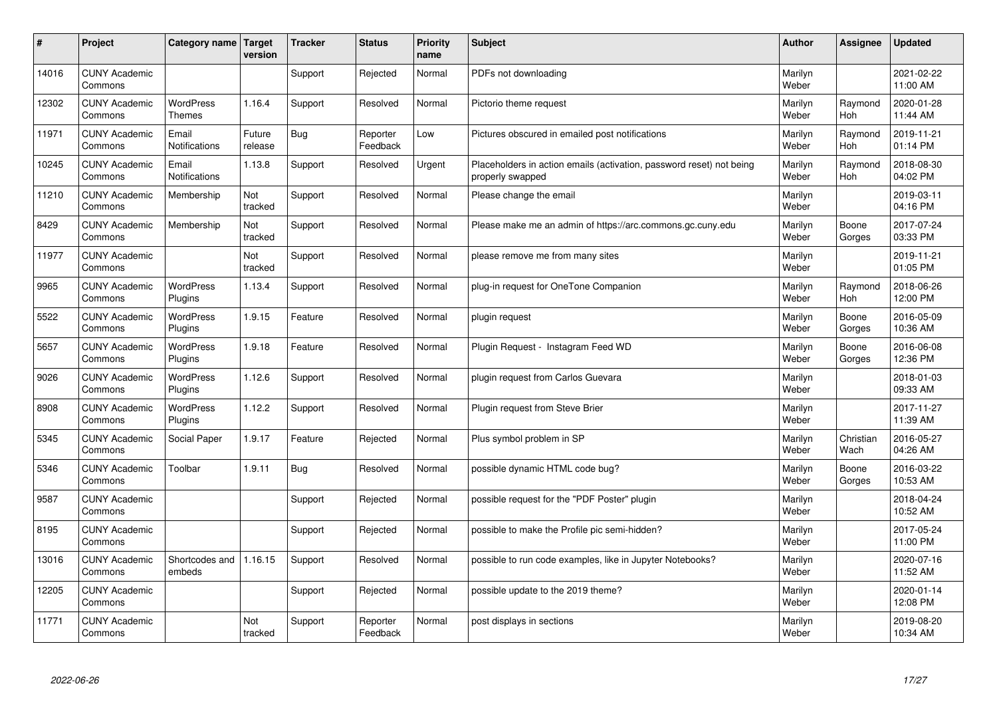| $\sharp$ | Project                         | Category name   Target            | version           | <b>Tracker</b> | <b>Status</b>        | <b>Priority</b><br>name | <b>Subject</b>                                                                           | <b>Author</b>    | Assignee              | <b>Updated</b>         |
|----------|---------------------------------|-----------------------------------|-------------------|----------------|----------------------|-------------------------|------------------------------------------------------------------------------------------|------------------|-----------------------|------------------------|
| 14016    | <b>CUNY Academic</b><br>Commons |                                   |                   | Support        | Rejected             | Normal                  | PDFs not downloading                                                                     | Marilyn<br>Weber |                       | 2021-02-22<br>11:00 AM |
| 12302    | <b>CUNY Academic</b><br>Commons | <b>WordPress</b><br><b>Themes</b> | 1.16.4            | Support        | Resolved             | Normal                  | Pictorio theme request                                                                   | Marilyn<br>Weber | Raymond<br><b>Hoh</b> | 2020-01-28<br>11:44 AM |
| 11971    | <b>CUNY Academic</b><br>Commons | Email<br>Notifications            | Future<br>release | Bug            | Reporter<br>Feedback | Low                     | Pictures obscured in emailed post notifications                                          | Marilyn<br>Weber | Raymond<br>Hoh        | 2019-11-21<br>01:14 PM |
| 10245    | <b>CUNY Academic</b><br>Commons | Email<br>Notifications            | 1.13.8            | Support        | Resolved             | Urgent                  | Placeholders in action emails (activation, password reset) not being<br>properly swapped | Marilyn<br>Weber | Raymond<br>Hoh        | 2018-08-30<br>04:02 PM |
| 11210    | <b>CUNY Academic</b><br>Commons | Membership                        | Not<br>tracked    | Support        | Resolved             | Normal                  | Please change the email                                                                  | Marilyn<br>Weber |                       | 2019-03-11<br>04:16 PM |
| 8429     | <b>CUNY Academic</b><br>Commons | Membership                        | Not<br>tracked    | Support        | Resolved             | Normal                  | Please make me an admin of https://arc.commons.gc.cuny.edu                               | Marilyn<br>Weber | Boone<br>Gorges       | 2017-07-24<br>03:33 PM |
| 11977    | <b>CUNY Academic</b><br>Commons |                                   | Not<br>tracked    | Support        | Resolved             | Normal                  | please remove me from many sites                                                         | Marilyn<br>Weber |                       | 2019-11-21<br>01:05 PM |
| 9965     | <b>CUNY Academic</b><br>Commons | WordPress<br>Plugins              | 1.13.4            | Support        | Resolved             | Normal                  | plug-in request for OneTone Companion                                                    | Marilyn<br>Weber | Raymond<br>Hoh        | 2018-06-26<br>12:00 PM |
| 5522     | <b>CUNY Academic</b><br>Commons | WordPress<br>Plugins              | 1.9.15            | Feature        | Resolved             | Normal                  | plugin request                                                                           | Marilyn<br>Weber | Boone<br>Gorges       | 2016-05-09<br>10:36 AM |
| 5657     | <b>CUNY Academic</b><br>Commons | WordPress<br>Plugins              | 1.9.18            | Feature        | Resolved             | Normal                  | Plugin Reguest - Instagram Feed WD                                                       | Marilyn<br>Weber | Boone<br>Gorges       | 2016-06-08<br>12:36 PM |
| 9026     | <b>CUNY Academic</b><br>Commons | <b>WordPress</b><br>Plugins       | 1.12.6            | Support        | Resolved             | Normal                  | plugin request from Carlos Guevara                                                       | Marilyn<br>Weber |                       | 2018-01-03<br>09:33 AM |
| 8908     | <b>CUNY Academic</b><br>Commons | <b>WordPress</b><br>Plugins       | 1.12.2            | Support        | Resolved             | Normal                  | Plugin request from Steve Brier                                                          | Marilyn<br>Weber |                       | 2017-11-27<br>11:39 AM |
| 5345     | <b>CUNY Academic</b><br>Commons | Social Paper                      | 1.9.17            | Feature        | Rejected             | Normal                  | Plus symbol problem in SP                                                                | Marilyn<br>Weber | Christian<br>Wach     | 2016-05-27<br>04:26 AM |
| 5346     | <b>CUNY Academic</b><br>Commons | Toolbar                           | 1.9.11            | <b>Bug</b>     | Resolved             | Normal                  | possible dynamic HTML code bug?                                                          | Marilyn<br>Weber | Boone<br>Gorges       | 2016-03-22<br>10:53 AM |
| 9587     | <b>CUNY Academic</b><br>Commons |                                   |                   | Support        | Rejected             | Normal                  | possible request for the "PDF Poster" plugin                                             | Marilyn<br>Weber |                       | 2018-04-24<br>10:52 AM |
| 8195     | <b>CUNY Academic</b><br>Commons |                                   |                   | Support        | Rejected             | Normal                  | possible to make the Profile pic semi-hidden?                                            | Marilyn<br>Weber |                       | 2017-05-24<br>11:00 PM |
| 13016    | <b>CUNY Academic</b><br>Commons | Shortcodes and<br>embeds          | 1.16.15           | Support        | Resolved             | Normal                  | possible to run code examples, like in Jupyter Notebooks?                                | Marilyn<br>Weber |                       | 2020-07-16<br>11:52 AM |
| 12205    | <b>CUNY Academic</b><br>Commons |                                   |                   | Support        | Rejected             | Normal                  | possible update to the 2019 theme?                                                       | Marilyn<br>Weber |                       | 2020-01-14<br>12:08 PM |
| 11771    | <b>CUNY Academic</b><br>Commons |                                   | Not<br>tracked    | Support        | Reporter<br>Feedback | Normal                  | post displays in sections                                                                | Marilyn<br>Weber |                       | 2019-08-20<br>10:34 AM |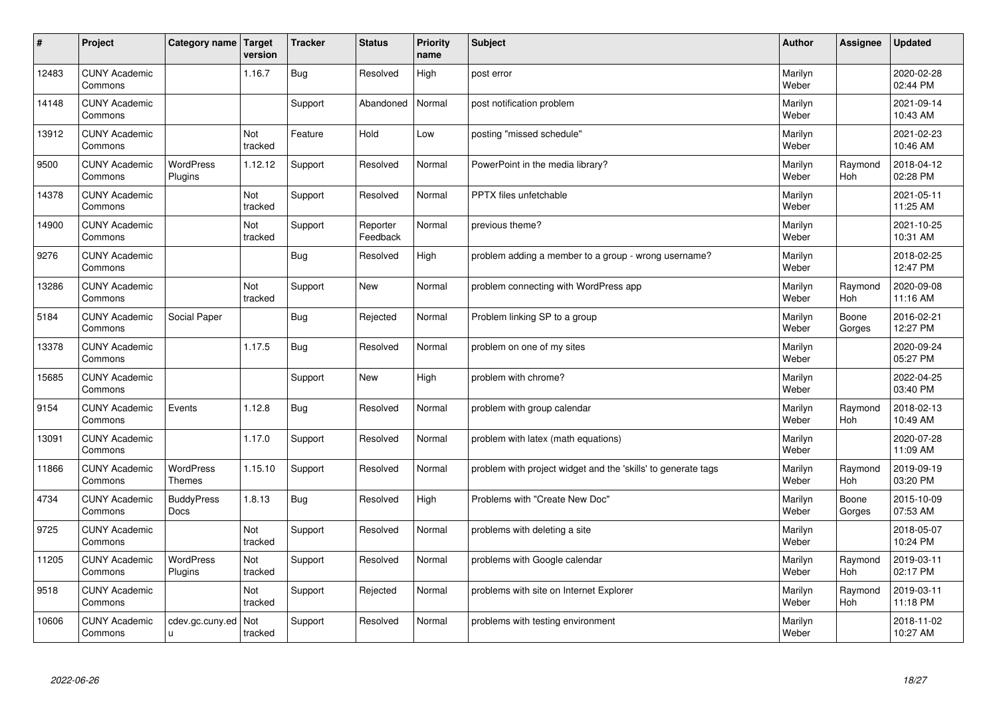| #     | Project                         | Category name   Target           | version               | <b>Tracker</b> | <b>Status</b>        | <b>Priority</b><br>name | <b>Subject</b>                                                | <b>Author</b>    | Assignee              | <b>Updated</b>         |
|-------|---------------------------------|----------------------------------|-----------------------|----------------|----------------------|-------------------------|---------------------------------------------------------------|------------------|-----------------------|------------------------|
| 12483 | <b>CUNY Academic</b><br>Commons |                                  | 1.16.7                | <b>Bug</b>     | Resolved             | High                    | post error                                                    | Marilyn<br>Weber |                       | 2020-02-28<br>02:44 PM |
| 14148 | <b>CUNY Academic</b><br>Commons |                                  |                       | Support        | Abandoned            | Normal                  | post notification problem                                     | Marilyn<br>Weber |                       | 2021-09-14<br>10:43 AM |
| 13912 | <b>CUNY Academic</b><br>Commons |                                  | Not<br>tracked        | Feature        | Hold                 | Low                     | posting "missed schedule"                                     | Marilyn<br>Weber |                       | 2021-02-23<br>10:46 AM |
| 9500  | <b>CUNY Academic</b><br>Commons | <b>WordPress</b><br>Plugins      | 1.12.12               | Support        | Resolved             | Normal                  | PowerPoint in the media library?                              | Marilyn<br>Weber | Raymond<br>Hoh        | 2018-04-12<br>02:28 PM |
| 14378 | <b>CUNY Academic</b><br>Commons |                                  | Not<br>tracked        | Support        | Resolved             | Normal                  | <b>PPTX</b> files unfetchable                                 | Marilyn<br>Weber |                       | 2021-05-11<br>11:25 AM |
| 14900 | <b>CUNY Academic</b><br>Commons |                                  | <b>Not</b><br>tracked | Support        | Reporter<br>Feedback | Normal                  | previous theme?                                               | Marilyn<br>Weber |                       | 2021-10-25<br>10:31 AM |
| 9276  | <b>CUNY Academic</b><br>Commons |                                  |                       | <b>Bug</b>     | Resolved             | High                    | problem adding a member to a group - wrong username?          | Marilyn<br>Weber |                       | 2018-02-25<br>12:47 PM |
| 13286 | <b>CUNY Academic</b><br>Commons |                                  | Not<br>tracked        | Support        | <b>New</b>           | Normal                  | problem connecting with WordPress app                         | Marilyn<br>Weber | Raymond<br>Hoh        | 2020-09-08<br>11:16 AM |
| 5184  | <b>CUNY Academic</b><br>Commons | Social Paper                     |                       | <b>Bug</b>     | Rejected             | Normal                  | Problem linking SP to a group                                 | Marilyn<br>Weber | Boone<br>Gorges       | 2016-02-21<br>12:27 PM |
| 13378 | <b>CUNY Academic</b><br>Commons |                                  | 1.17.5                | Bug            | Resolved             | Normal                  | problem on one of my sites                                    | Marilyn<br>Weber |                       | 2020-09-24<br>05:27 PM |
| 15685 | <b>CUNY Academic</b><br>Commons |                                  |                       | Support        | New                  | High                    | problem with chrome?                                          | Marilyn<br>Weber |                       | 2022-04-25<br>03:40 PM |
| 9154  | <b>CUNY Academic</b><br>Commons | Events                           | 1.12.8                | <b>Bug</b>     | Resolved             | Normal                  | problem with group calendar                                   | Marilyn<br>Weber | Raymond<br>Hoh        | 2018-02-13<br>10:49 AM |
| 13091 | <b>CUNY Academic</b><br>Commons |                                  | 1.17.0                | Support        | Resolved             | Normal                  | problem with latex (math equations)                           | Marilyn<br>Weber |                       | 2020-07-28<br>11:09 AM |
| 11866 | <b>CUNY Academic</b><br>Commons | WordPress<br><b>Themes</b>       | 1.15.10               | Support        | Resolved             | Normal                  | problem with project widget and the 'skills' to generate tags | Marilyn<br>Weber | Raymond<br><b>Hoh</b> | 2019-09-19<br>03:20 PM |
| 4734  | <b>CUNY Academic</b><br>Commons | <b>BuddyPress</b><br><b>Docs</b> | 1.8.13                | <b>Bug</b>     | Resolved             | High                    | Problems with "Create New Doc"                                | Marilyn<br>Weber | Boone<br>Gorges       | 2015-10-09<br>07:53 AM |
| 9725  | <b>CUNY Academic</b><br>Commons |                                  | Not<br>tracked        | Support        | Resolved             | Normal                  | problems with deleting a site                                 | Marilyn<br>Weber |                       | 2018-05-07<br>10:24 PM |
| 11205 | <b>CUNY Academic</b><br>Commons | WordPress<br>Plugins             | Not<br>tracked        | Support        | Resolved             | Normal                  | problems with Google calendar                                 | Marilyn<br>Weber | Raymond<br>Hoh        | 2019-03-11<br>02:17 PM |
| 9518  | <b>CUNY Academic</b><br>Commons |                                  | Not<br>tracked        | Support        | Rejected             | Normal                  | problems with site on Internet Explorer                       | Marilyn<br>Weber | Raymond<br><b>Hoh</b> | 2019-03-11<br>11:18 PM |
| 10606 | <b>CUNY Academic</b><br>Commons | cdev.gc.cuny.ed<br>ū             | Not<br>tracked        | Support        | Resolved             | Normal                  | problems with testing environment                             | Marilyn<br>Weber |                       | 2018-11-02<br>10:27 AM |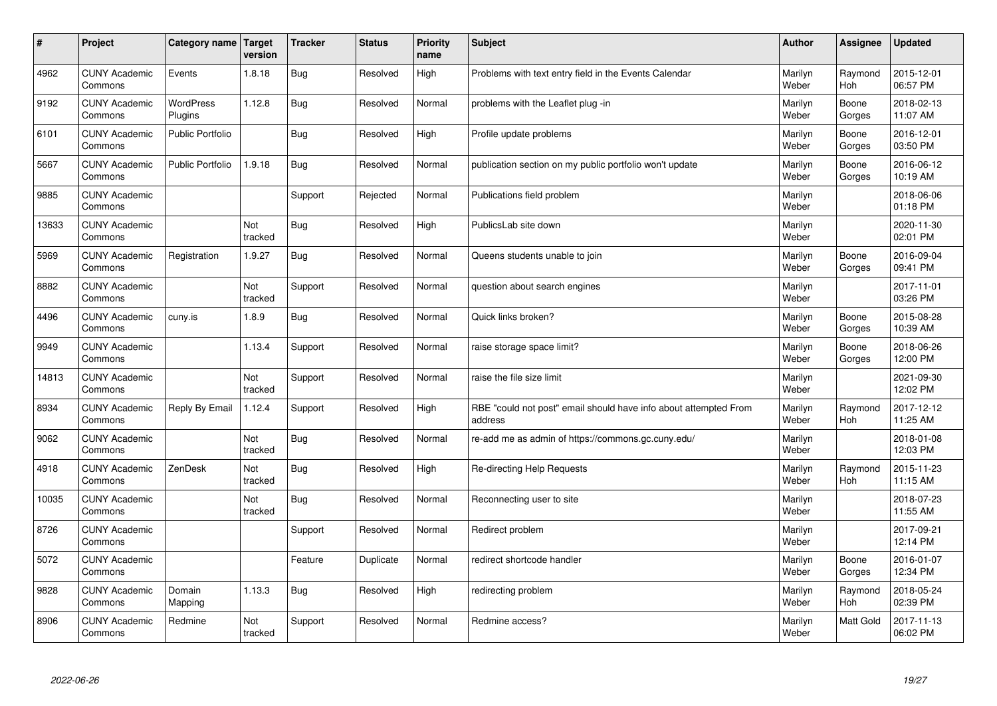| #     | Project                         | <b>Category name</b>        | Target<br>version | <b>Tracker</b> | <b>Status</b> | <b>Priority</b><br>name | <b>Subject</b>                                                              | <b>Author</b>    | <b>Assignee</b> | <b>Updated</b>         |
|-------|---------------------------------|-----------------------------|-------------------|----------------|---------------|-------------------------|-----------------------------------------------------------------------------|------------------|-----------------|------------------------|
| 4962  | <b>CUNY Academic</b><br>Commons | Events                      | 1.8.18            | Bug            | Resolved      | High                    | Problems with text entry field in the Events Calendar                       | Marilyn<br>Weber | Raymond<br>Hoh  | 2015-12-01<br>06:57 PM |
| 9192  | <b>CUNY Academic</b><br>Commons | <b>WordPress</b><br>Plugins | 1.12.8            | Bug            | Resolved      | Normal                  | problems with the Leaflet plug -in                                          | Marilyn<br>Weber | Boone<br>Gorges | 2018-02-13<br>11:07 AM |
| 6101  | <b>CUNY Academic</b><br>Commons | Public Portfolio            |                   | <b>Bug</b>     | Resolved      | High                    | Profile update problems                                                     | Marilyn<br>Weber | Boone<br>Gorges | 2016-12-01<br>03:50 PM |
| 5667  | <b>CUNY Academic</b><br>Commons | <b>Public Portfolio</b>     | 1.9.18            | <b>Bug</b>     | Resolved      | Normal                  | publication section on my public portfolio won't update                     | Marilyn<br>Weber | Boone<br>Gorges | 2016-06-12<br>10:19 AM |
| 9885  | <b>CUNY Academic</b><br>Commons |                             |                   | Support        | Rejected      | Normal                  | Publications field problem                                                  | Marilyn<br>Weber |                 | 2018-06-06<br>01:18 PM |
| 13633 | <b>CUNY Academic</b><br>Commons |                             | Not<br>tracked    | <b>Bug</b>     | Resolved      | High                    | PublicsLab site down                                                        | Marilyn<br>Weber |                 | 2020-11-30<br>02:01 PM |
| 5969  | <b>CUNY Academic</b><br>Commons | Registration                | 1.9.27            | <b>Bug</b>     | Resolved      | Normal                  | Queens students unable to join                                              | Marilyn<br>Weber | Boone<br>Gorges | 2016-09-04<br>09:41 PM |
| 8882  | <b>CUNY Academic</b><br>Commons |                             | Not<br>tracked    | Support        | Resolved      | Normal                  | question about search engines                                               | Marilyn<br>Weber |                 | 2017-11-01<br>03:26 PM |
| 4496  | <b>CUNY Academic</b><br>Commons | cuny.is                     | 1.8.9             | Bug            | Resolved      | Normal                  | Quick links broken?                                                         | Marilyn<br>Weber | Boone<br>Gorges | 2015-08-28<br>10:39 AM |
| 9949  | <b>CUNY Academic</b><br>Commons |                             | 1.13.4            | Support        | Resolved      | Normal                  | raise storage space limit?                                                  | Marilyn<br>Weber | Boone<br>Gorges | 2018-06-26<br>12:00 PM |
| 14813 | <b>CUNY Academic</b><br>Commons |                             | Not<br>tracked    | Support        | Resolved      | Normal                  | raise the file size limit                                                   | Marilyn<br>Weber |                 | 2021-09-30<br>12:02 PM |
| 8934  | <b>CUNY Academic</b><br>Commons | Reply By Email              | 1.12.4            | Support        | Resolved      | High                    | RBE "could not post" email should have info about attempted From<br>address | Marilyn<br>Weber | Raymond<br>Hoh  | 2017-12-12<br>11:25 AM |
| 9062  | <b>CUNY Academic</b><br>Commons |                             | Not<br>tracked    | <b>Bug</b>     | Resolved      | Normal                  | re-add me as admin of https://commons.gc.cuny.edu/                          | Marilyn<br>Weber |                 | 2018-01-08<br>12:03 PM |
| 4918  | <b>CUNY Academic</b><br>Commons | ZenDesk                     | Not<br>tracked    | <b>Bug</b>     | Resolved      | High                    | Re-directing Help Requests                                                  | Marilyn<br>Weber | Raymond<br>Hoh  | 2015-11-23<br>11:15 AM |
| 10035 | <b>CUNY Academic</b><br>Commons |                             | Not<br>tracked    | <b>Bug</b>     | Resolved      | Normal                  | Reconnecting user to site                                                   | Marilyn<br>Weber |                 | 2018-07-23<br>11:55 AM |
| 8726  | <b>CUNY Academic</b><br>Commons |                             |                   | Support        | Resolved      | Normal                  | Redirect problem                                                            | Marilyn<br>Weber |                 | 2017-09-21<br>12:14 PM |
| 5072  | <b>CUNY Academic</b><br>Commons |                             |                   | Feature        | Duplicate     | Normal                  | redirect shortcode handler                                                  | Marilyn<br>Weber | Boone<br>Gorges | 2016-01-07<br>12:34 PM |
| 9828  | <b>CUNY Academic</b><br>Commons | Domain<br>Mapping           | 1.13.3            | <b>Bug</b>     | Resolved      | High                    | redirecting problem                                                         | Marilyn<br>Weber | Raymond<br>Hoh  | 2018-05-24<br>02:39 PM |
| 8906  | <b>CUNY Academic</b><br>Commons | Redmine                     | Not<br>tracked    | Support        | Resolved      | Normal                  | Redmine access?                                                             | Marilyn<br>Weber | Matt Gold       | 2017-11-13<br>06:02 PM |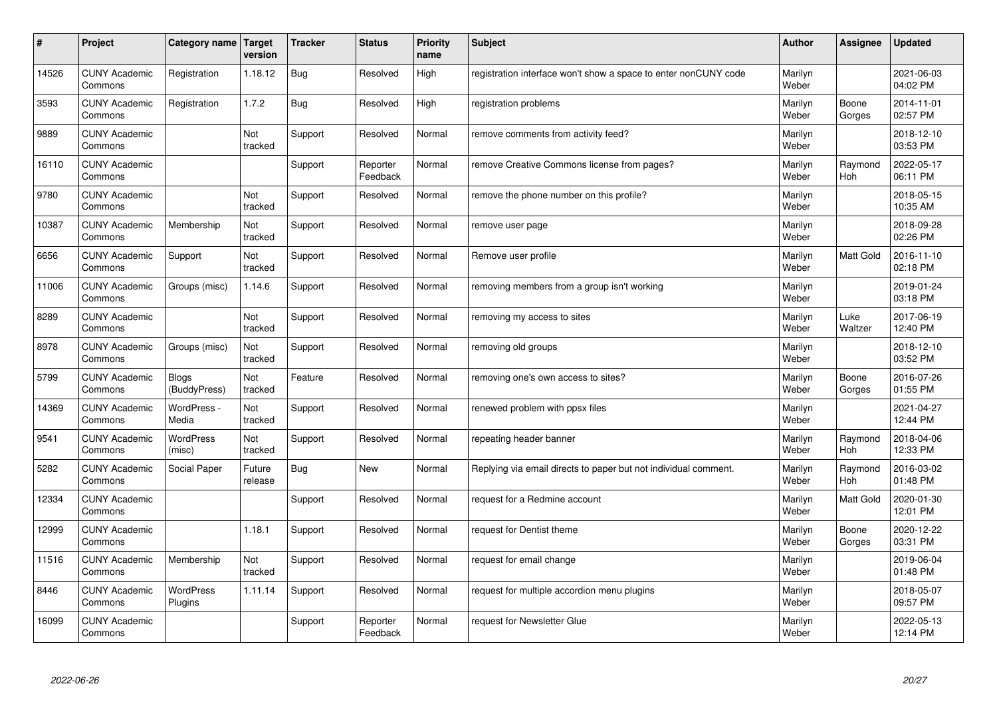| #     | Project                         | Category name                | Target<br>version | <b>Tracker</b> | <b>Status</b>        | <b>Priority</b><br>name | <b>Subject</b>                                                  | <b>Author</b>    | Assignee              | <b>Updated</b>         |
|-------|---------------------------------|------------------------------|-------------------|----------------|----------------------|-------------------------|-----------------------------------------------------------------|------------------|-----------------------|------------------------|
| 14526 | <b>CUNY Academic</b><br>Commons | Registration                 | 1.18.12           | Bug            | Resolved             | High                    | registration interface won't show a space to enter nonCUNY code | Marilyn<br>Weber |                       | 2021-06-03<br>04:02 PM |
| 3593  | <b>CUNY Academic</b><br>Commons | Registration                 | 1.7.2             | Bug            | Resolved             | High                    | registration problems                                           | Marilyn<br>Weber | Boone<br>Gorges       | 2014-11-01<br>02:57 PM |
| 9889  | <b>CUNY Academic</b><br>Commons |                              | Not<br>tracked    | Support        | Resolved             | Normal                  | remove comments from activity feed?                             | Marilyn<br>Weber |                       | 2018-12-10<br>03:53 PM |
| 16110 | <b>CUNY Academic</b><br>Commons |                              |                   | Support        | Reporter<br>Feedback | Normal                  | remove Creative Commons license from pages?                     | Marilyn<br>Weber | Raymond<br><b>Hoh</b> | 2022-05-17<br>06:11 PM |
| 9780  | <b>CUNY Academic</b><br>Commons |                              | Not<br>tracked    | Support        | Resolved             | Normal                  | remove the phone number on this profile?                        | Marilyn<br>Weber |                       | 2018-05-15<br>10:35 AM |
| 10387 | <b>CUNY Academic</b><br>Commons | Membership                   | Not<br>tracked    | Support        | Resolved             | Normal                  | remove user page                                                | Marilyn<br>Weber |                       | 2018-09-28<br>02:26 PM |
| 6656  | <b>CUNY Academic</b><br>Commons | Support                      | Not<br>tracked    | Support        | Resolved             | Normal                  | Remove user profile                                             | Marilyn<br>Weber | Matt Gold             | 2016-11-10<br>02:18 PM |
| 11006 | <b>CUNY Academic</b><br>Commons | Groups (misc)                | 1.14.6            | Support        | Resolved             | Normal                  | removing members from a group isn't working                     | Marilyn<br>Weber |                       | 2019-01-24<br>03:18 PM |
| 8289  | <b>CUNY Academic</b><br>Commons |                              | Not<br>tracked    | Support        | Resolved             | Normal                  | removing my access to sites                                     | Marilyn<br>Weber | Luke<br>Waltzer       | 2017-06-19<br>12:40 PM |
| 8978  | <b>CUNY Academic</b><br>Commons | Groups (misc)                | Not<br>tracked    | Support        | Resolved             | Normal                  | removing old groups                                             | Marilyn<br>Weber |                       | 2018-12-10<br>03:52 PM |
| 5799  | <b>CUNY Academic</b><br>Commons | <b>Blogs</b><br>(BuddyPress) | Not<br>tracked    | Feature        | Resolved             | Normal                  | removing one's own access to sites?                             | Marilyn<br>Weber | Boone<br>Gorges       | 2016-07-26<br>01:55 PM |
| 14369 | <b>CUNY Academic</b><br>Commons | WordPress -<br>Media         | Not<br>tracked    | Support        | Resolved             | Normal                  | renewed problem with ppsx files                                 | Marilyn<br>Weber |                       | 2021-04-27<br>12:44 PM |
| 9541  | <b>CUNY Academic</b><br>Commons | WordPress<br>(misc)          | Not<br>tracked    | Support        | Resolved             | Normal                  | repeating header banner                                         | Marilyn<br>Weber | Raymond<br>Hoh        | 2018-04-06<br>12:33 PM |
| 5282  | <b>CUNY Academic</b><br>Commons | Social Paper                 | Future<br>release | Bug            | <b>New</b>           | Normal                  | Replying via email directs to paper but not individual comment. | Marilyn<br>Weber | Raymond<br><b>Hoh</b> | 2016-03-02<br>01:48 PM |
| 12334 | <b>CUNY Academic</b><br>Commons |                              |                   | Support        | Resolved             | Normal                  | request for a Redmine account                                   | Marilyn<br>Weber | <b>Matt Gold</b>      | 2020-01-30<br>12:01 PM |
| 12999 | <b>CUNY Academic</b><br>Commons |                              | 1.18.1            | Support        | Resolved             | Normal                  | request for Dentist theme                                       | Marilyn<br>Weber | Boone<br>Gorges       | 2020-12-22<br>03:31 PM |
| 11516 | <b>CUNY Academic</b><br>Commons | Membership                   | Not<br>tracked    | Support        | Resolved             | Normal                  | request for email change                                        | Marilyn<br>Weber |                       | 2019-06-04<br>01:48 PM |
| 8446  | <b>CUNY Academic</b><br>Commons | <b>WordPress</b><br>Plugins  | 1.11.14           | Support        | Resolved             | Normal                  | request for multiple accordion menu plugins                     | Marilyn<br>Weber |                       | 2018-05-07<br>09:57 PM |
| 16099 | <b>CUNY Academic</b><br>Commons |                              |                   | Support        | Reporter<br>Feedback | Normal                  | request for Newsletter Glue                                     | Marilyn<br>Weber |                       | 2022-05-13<br>12:14 PM |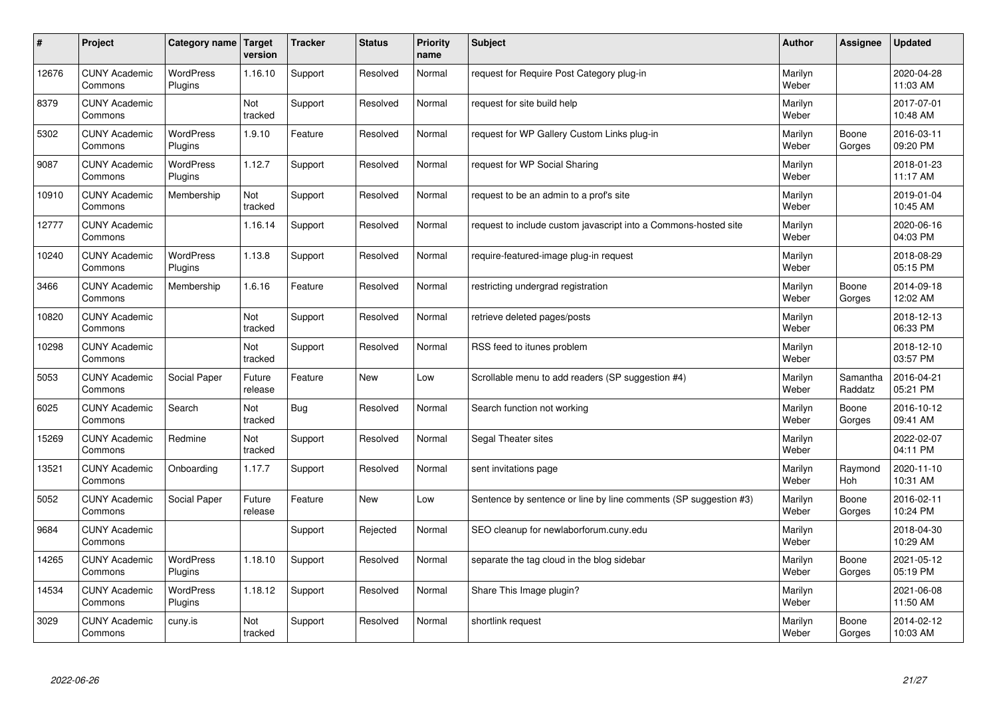| $\sharp$ | Project                         | Category name               | Target<br>version | <b>Tracker</b> | <b>Status</b> | <b>Priority</b><br>name | <b>Subject</b>                                                   | <b>Author</b>    | Assignee              | <b>Updated</b>         |
|----------|---------------------------------|-----------------------------|-------------------|----------------|---------------|-------------------------|------------------------------------------------------------------|------------------|-----------------------|------------------------|
| 12676    | <b>CUNY Academic</b><br>Commons | <b>WordPress</b><br>Plugins | 1.16.10           | Support        | Resolved      | Normal                  | request for Require Post Category plug-in                        | Marilyn<br>Weber |                       | 2020-04-28<br>11:03 AM |
| 8379     | <b>CUNY Academic</b><br>Commons |                             | Not<br>tracked    | Support        | Resolved      | Normal                  | request for site build help                                      | Marilyn<br>Weber |                       | 2017-07-01<br>10:48 AM |
| 5302     | <b>CUNY Academic</b><br>Commons | <b>WordPress</b><br>Plugins | 1.9.10            | Feature        | Resolved      | Normal                  | request for WP Gallery Custom Links plug-in                      | Marilyn<br>Weber | Boone<br>Gorges       | 2016-03-11<br>09:20 PM |
| 9087     | <b>CUNY Academic</b><br>Commons | <b>WordPress</b><br>Plugins | 1.12.7            | Support        | Resolved      | Normal                  | request for WP Social Sharing                                    | Marilyn<br>Weber |                       | 2018-01-23<br>11:17 AM |
| 10910    | <b>CUNY Academic</b><br>Commons | Membership                  | Not<br>tracked    | Support        | Resolved      | Normal                  | request to be an admin to a prof's site                          | Marilyn<br>Weber |                       | 2019-01-04<br>10:45 AM |
| 12777    | <b>CUNY Academic</b><br>Commons |                             | 1.16.14           | Support        | Resolved      | Normal                  | request to include custom javascript into a Commons-hosted site  | Marilyn<br>Weber |                       | 2020-06-16<br>04:03 PM |
| 10240    | <b>CUNY Academic</b><br>Commons | <b>WordPress</b><br>Plugins | 1.13.8            | Support        | Resolved      | Normal                  | require-featured-image plug-in request                           | Marilyn<br>Weber |                       | 2018-08-29<br>05:15 PM |
| 3466     | <b>CUNY Academic</b><br>Commons | Membership                  | 1.6.16            | Feature        | Resolved      | Normal                  | restricting undergrad registration                               | Marilyn<br>Weber | Boone<br>Gorges       | 2014-09-18<br>12:02 AM |
| 10820    | <b>CUNY Academic</b><br>Commons |                             | Not<br>tracked    | Support        | Resolved      | Normal                  | retrieve deleted pages/posts                                     | Marilyn<br>Weber |                       | 2018-12-13<br>06:33 PM |
| 10298    | <b>CUNY Academic</b><br>Commons |                             | Not<br>tracked    | Support        | Resolved      | Normal                  | RSS feed to itunes problem                                       | Marilyn<br>Weber |                       | 2018-12-10<br>03:57 PM |
| 5053     | <b>CUNY Academic</b><br>Commons | Social Paper                | Future<br>release | Feature        | New           | Low                     | Scrollable menu to add readers (SP suggestion #4)                | Marilyn<br>Weber | Samantha<br>Raddatz   | 2016-04-21<br>05:21 PM |
| 6025     | <b>CUNY Academic</b><br>Commons | Search                      | Not<br>tracked    | Bug            | Resolved      | Normal                  | Search function not working                                      | Marilyn<br>Weber | Boone<br>Gorges       | 2016-10-12<br>09:41 AM |
| 15269    | <b>CUNY Academic</b><br>Commons | Redmine                     | Not<br>tracked    | Support        | Resolved      | Normal                  | Segal Theater sites                                              | Marilyn<br>Weber |                       | 2022-02-07<br>04:11 PM |
| 13521    | <b>CUNY Academic</b><br>Commons | Onboarding                  | 1.17.7            | Support        | Resolved      | Normal                  | sent invitations page                                            | Marilyn<br>Weber | Raymond<br><b>Hoh</b> | 2020-11-10<br>10:31 AM |
| 5052     | <b>CUNY Academic</b><br>Commons | Social Paper                | Future<br>release | Feature        | <b>New</b>    | Low                     | Sentence by sentence or line by line comments (SP suggestion #3) | Marilyn<br>Weber | Boone<br>Gorges       | 2016-02-11<br>10:24 PM |
| 9684     | <b>CUNY Academic</b><br>Commons |                             |                   | Support        | Rejected      | Normal                  | SEO cleanup for newlaborforum.cuny.edu                           | Marilyn<br>Weber |                       | 2018-04-30<br>10:29 AM |
| 14265    | <b>CUNY Academic</b><br>Commons | WordPress<br>Plugins        | 1.18.10           | Support        | Resolved      | Normal                  | separate the tag cloud in the blog sidebar                       | Marilyn<br>Weber | Boone<br>Gorges       | 2021-05-12<br>05:19 PM |
| 14534    | <b>CUNY Academic</b><br>Commons | <b>WordPress</b><br>Plugins | 1.18.12           | Support        | Resolved      | Normal                  | Share This Image plugin?                                         | Marilyn<br>Weber |                       | 2021-06-08<br>11:50 AM |
| 3029     | <b>CUNY Academic</b><br>Commons | cuny.is                     | Not<br>tracked    | Support        | Resolved      | Normal                  | shortlink request                                                | Marilyn<br>Weber | Boone<br>Gorges       | 2014-02-12<br>10:03 AM |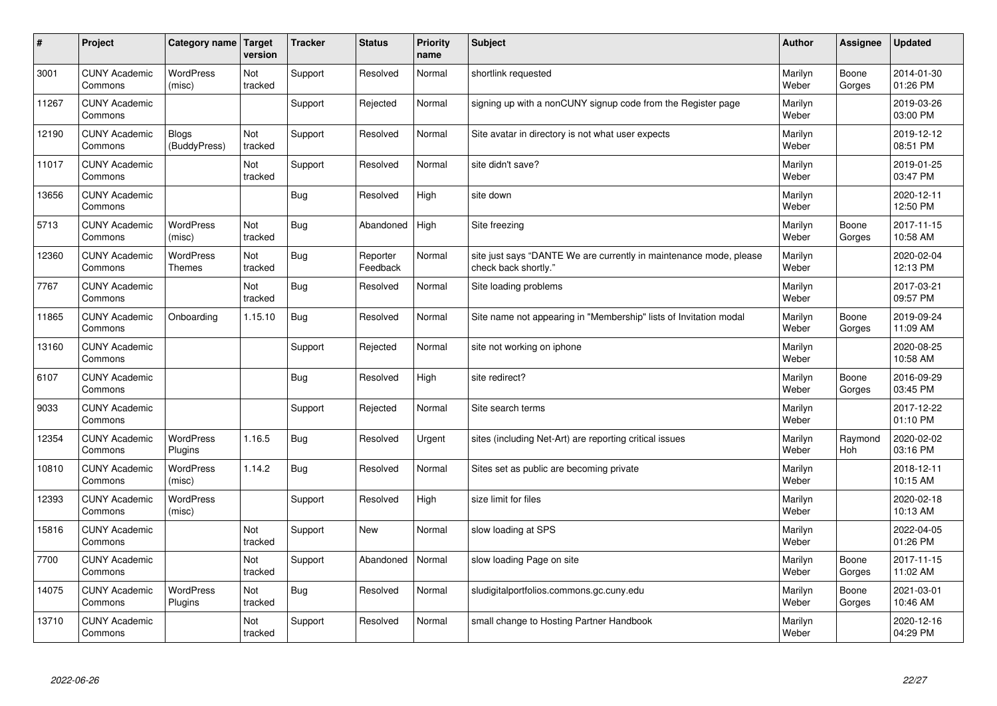| #     | Project                         | Category name                     | Target<br>version | <b>Tracker</b> | <b>Status</b>        | <b>Priority</b><br>name | <b>Subject</b>                                                                             | <b>Author</b>    | Assignee        | <b>Updated</b>         |
|-------|---------------------------------|-----------------------------------|-------------------|----------------|----------------------|-------------------------|--------------------------------------------------------------------------------------------|------------------|-----------------|------------------------|
| 3001  | <b>CUNY Academic</b><br>Commons | <b>WordPress</b><br>(misc)        | Not<br>tracked    | Support        | Resolved             | Normal                  | shortlink requested                                                                        | Marilyn<br>Weber | Boone<br>Gorges | 2014-01-30<br>01:26 PM |
| 11267 | <b>CUNY Academic</b><br>Commons |                                   |                   | Support        | Rejected             | Normal                  | signing up with a nonCUNY signup code from the Register page                               | Marilyn<br>Weber |                 | 2019-03-26<br>03:00 PM |
| 12190 | <b>CUNY Academic</b><br>Commons | <b>Blogs</b><br>(BuddyPress)      | Not<br>tracked    | Support        | Resolved             | Normal                  | Site avatar in directory is not what user expects                                          | Marilyn<br>Weber |                 | 2019-12-12<br>08:51 PM |
| 11017 | <b>CUNY Academic</b><br>Commons |                                   | Not<br>tracked    | Support        | Resolved             | Normal                  | site didn't save?                                                                          | Marilyn<br>Weber |                 | 2019-01-25<br>03:47 PM |
| 13656 | <b>CUNY Academic</b><br>Commons |                                   |                   | <b>Bug</b>     | Resolved             | High                    | site down                                                                                  | Marilyn<br>Weber |                 | 2020-12-11<br>12:50 PM |
| 5713  | <b>CUNY Academic</b><br>Commons | <b>WordPress</b><br>(misc)        | Not<br>tracked    | <b>Bug</b>     | Abandoned            | High                    | Site freezing                                                                              | Marilyn<br>Weber | Boone<br>Gorges | 2017-11-15<br>10:58 AM |
| 12360 | <b>CUNY Academic</b><br>Commons | <b>WordPress</b><br><b>Themes</b> | Not<br>tracked    | <b>Bug</b>     | Reporter<br>Feedback | Normal                  | site just says "DANTE We are currently in maintenance mode, please<br>check back shortly." | Marilyn<br>Weber |                 | 2020-02-04<br>12:13 PM |
| 7767  | <b>CUNY Academic</b><br>Commons |                                   | Not<br>tracked    | <b>Bug</b>     | Resolved             | Normal                  | Site loading problems                                                                      | Marilyn<br>Weber |                 | 2017-03-21<br>09:57 PM |
| 11865 | <b>CUNY Academic</b><br>Commons | Onboarding                        | 1.15.10           | <b>Bug</b>     | Resolved             | Normal                  | Site name not appearing in "Membership" lists of Invitation modal                          | Marilyn<br>Weber | Boone<br>Gorges | 2019-09-24<br>11:09 AM |
| 13160 | <b>CUNY Academic</b><br>Commons |                                   |                   | Support        | Rejected             | Normal                  | site not working on iphone                                                                 | Marilyn<br>Weber |                 | 2020-08-25<br>10:58 AM |
| 6107  | <b>CUNY Academic</b><br>Commons |                                   |                   | Bug            | Resolved             | High                    | site redirect?                                                                             | Marilyn<br>Weber | Boone<br>Gorges | 2016-09-29<br>03:45 PM |
| 9033  | <b>CUNY Academic</b><br>Commons |                                   |                   | Support        | Rejected             | Normal                  | Site search terms                                                                          | Marilyn<br>Weber |                 | 2017-12-22<br>01:10 PM |
| 12354 | <b>CUNY Academic</b><br>Commons | <b>WordPress</b><br>Plugins       | 1.16.5            | Bug            | Resolved             | Urgent                  | sites (including Net-Art) are reporting critical issues                                    | Marilyn<br>Weber | Raymond<br>Hoh  | 2020-02-02<br>03:16 PM |
| 10810 | <b>CUNY Academic</b><br>Commons | <b>WordPress</b><br>(misc)        | 1.14.2            | <b>Bug</b>     | Resolved             | Normal                  | Sites set as public are becoming private                                                   | Marilyn<br>Weber |                 | 2018-12-11<br>10:15 AM |
| 12393 | <b>CUNY Academic</b><br>Commons | WordPress<br>(misc)               |                   | Support        | Resolved             | High                    | size limit for files                                                                       | Marilyn<br>Weber |                 | 2020-02-18<br>10:13 AM |
| 15816 | <b>CUNY Academic</b><br>Commons |                                   | Not<br>tracked    | Support        | <b>New</b>           | Normal                  | slow loading at SPS                                                                        | Marilyn<br>Weber |                 | 2022-04-05<br>01:26 PM |
| 7700  | <b>CUNY Academic</b><br>Commons |                                   | Not<br>tracked    | Support        | Abandoned            | Normal                  | slow loading Page on site                                                                  | Marilyn<br>Weber | Boone<br>Gorges | 2017-11-15<br>11:02 AM |
| 14075 | <b>CUNY Academic</b><br>Commons | <b>WordPress</b><br>Plugins       | Not<br>tracked    | <b>Bug</b>     | Resolved             | Normal                  | sludigitalportfolios.commons.gc.cuny.edu                                                   | Marilyn<br>Weber | Boone<br>Gorges | 2021-03-01<br>10:46 AM |
| 13710 | <b>CUNY Academic</b><br>Commons |                                   | Not<br>tracked    | Support        | Resolved             | Normal                  | small change to Hosting Partner Handbook                                                   | Marilyn<br>Weber |                 | 2020-12-16<br>04:29 PM |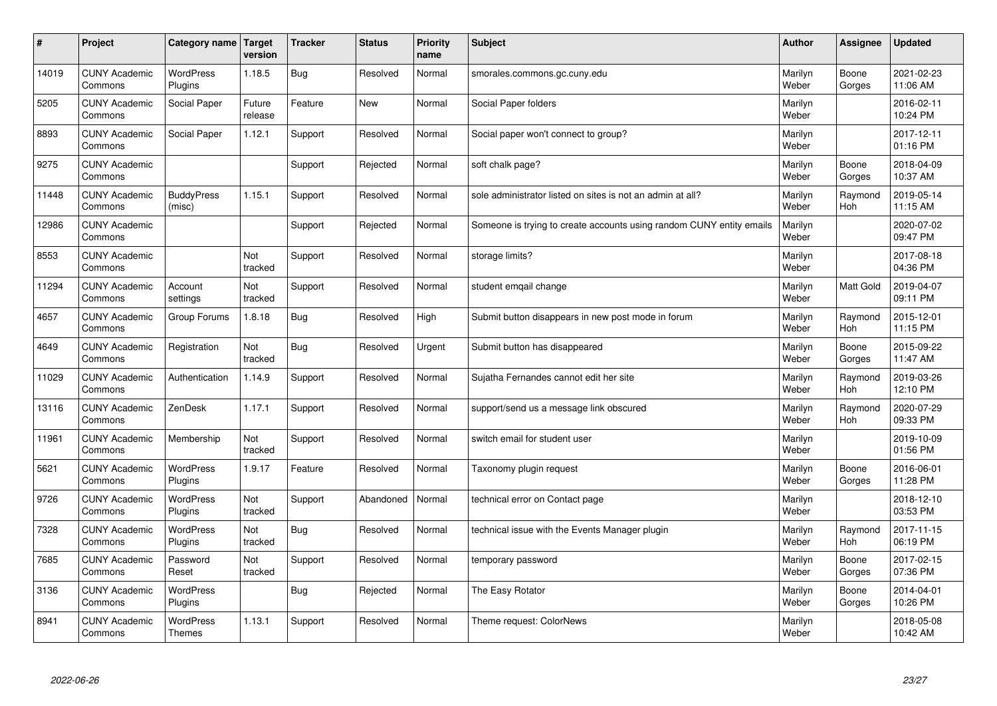| $\sharp$ | Project                         | Category name               | Target<br>version | <b>Tracker</b> | <b>Status</b> | <b>Priority</b><br>name | <b>Subject</b>                                                       | <b>Author</b>    | Assignee              | <b>Updated</b>         |
|----------|---------------------------------|-----------------------------|-------------------|----------------|---------------|-------------------------|----------------------------------------------------------------------|------------------|-----------------------|------------------------|
| 14019    | <b>CUNY Academic</b><br>Commons | <b>WordPress</b><br>Plugins | 1.18.5            | Bug            | Resolved      | Normal                  | smorales.commons.gc.cuny.edu                                         | Marilyn<br>Weber | Boone<br>Gorges       | 2021-02-23<br>11:06 AM |
| 5205     | <b>CUNY Academic</b><br>Commons | Social Paper                | Future<br>release | Feature        | New           | Normal                  | Social Paper folders                                                 | Marilyn<br>Weber |                       | 2016-02-11<br>10:24 PM |
| 8893     | <b>CUNY Academic</b><br>Commons | Social Paper                | 1.12.1            | Support        | Resolved      | Normal                  | Social paper won't connect to group?                                 | Marilyn<br>Weber |                       | 2017-12-11<br>01:16 PM |
| 9275     | <b>CUNY Academic</b><br>Commons |                             |                   | Support        | Rejected      | Normal                  | soft chalk page?                                                     | Marilyn<br>Weber | Boone<br>Gorges       | 2018-04-09<br>10:37 AM |
| 11448    | <b>CUNY Academic</b><br>Commons | <b>BuddyPress</b><br>(misc) | 1.15.1            | Support        | Resolved      | Normal                  | sole administrator listed on sites is not an admin at all?           | Marilyn<br>Weber | Raymond<br><b>Hoh</b> | 2019-05-14<br>11:15 AM |
| 12986    | <b>CUNY Academic</b><br>Commons |                             |                   | Support        | Rejected      | Normal                  | Someone is trying to create accounts using random CUNY entity emails | Marilyn<br>Weber |                       | 2020-07-02<br>09:47 PM |
| 8553     | <b>CUNY Academic</b><br>Commons |                             | Not<br>tracked    | Support        | Resolved      | Normal                  | storage limits?                                                      | Marilyn<br>Weber |                       | 2017-08-18<br>04:36 PM |
| 11294    | <b>CUNY Academic</b><br>Commons | Account<br>settings         | Not<br>tracked    | Support        | Resolved      | Normal                  | student emgail change                                                | Marilyn<br>Weber | Matt Gold             | 2019-04-07<br>09:11 PM |
| 4657     | <b>CUNY Academic</b><br>Commons | Group Forums                | 1.8.18            | Bug            | Resolved      | High                    | Submit button disappears in new post mode in forum                   | Marilyn<br>Weber | Raymond<br>Hoh        | 2015-12-01<br>11:15 PM |
| 4649     | <b>CUNY Academic</b><br>Commons | Registration                | Not<br>tracked    | Bug            | Resolved      | Urgent                  | Submit button has disappeared                                        | Marilyn<br>Weber | Boone<br>Gorges       | 2015-09-22<br>11:47 AM |
| 11029    | <b>CUNY Academic</b><br>Commons | Authentication              | 1.14.9            | Support        | Resolved      | Normal                  | Sujatha Fernandes cannot edit her site                               | Marilyn<br>Weber | Raymond<br><b>Hoh</b> | 2019-03-26<br>12:10 PM |
| 13116    | <b>CUNY Academic</b><br>Commons | ZenDesk                     | 1.17.1            | Support        | Resolved      | Normal                  | support/send us a message link obscured                              | Marilyn<br>Weber | Raymond<br>Hoh        | 2020-07-29<br>09:33 PM |
| 11961    | <b>CUNY Academic</b><br>Commons | Membership                  | Not<br>tracked    | Support        | Resolved      | Normal                  | switch email for student user                                        | Marilyn<br>Weber |                       | 2019-10-09<br>01:56 PM |
| 5621     | <b>CUNY Academic</b><br>Commons | <b>WordPress</b><br>Plugins | 1.9.17            | Feature        | Resolved      | Normal                  | Taxonomy plugin request                                              | Marilyn<br>Weber | Boone<br>Gorges       | 2016-06-01<br>11:28 PM |
| 9726     | <b>CUNY Academic</b><br>Commons | WordPress<br>Plugins        | Not<br>tracked    | Support        | Abandoned     | Normal                  | technical error on Contact page                                      | Marilyn<br>Weber |                       | 2018-12-10<br>03:53 PM |
| 7328     | <b>CUNY Academic</b><br>Commons | <b>WordPress</b><br>Plugins | Not<br>tracked    | Bug            | Resolved      | Normal                  | technical issue with the Events Manager plugin                       | Marilyn<br>Weber | Raymond<br>Hoh        | 2017-11-15<br>06:19 PM |
| 7685     | <b>CUNY Academic</b><br>Commons | Password<br>Reset           | Not<br>tracked    | Support        | Resolved      | Normal                  | temporary password                                                   | Marilyn<br>Weber | Boone<br>Gorges       | 2017-02-15<br>07:36 PM |
| 3136     | <b>CUNY Academic</b><br>Commons | WordPress<br>Plugins        |                   | Bug            | Rejected      | Normal                  | The Easy Rotator                                                     | Marilyn<br>Weber | Boone<br>Gorges       | 2014-04-01<br>10:26 PM |
| 8941     | <b>CUNY Academic</b><br>Commons | WordPress<br><b>Themes</b>  | 1.13.1            | Support        | Resolved      | Normal                  | Theme request: ColorNews                                             | Marilyn<br>Weber |                       | 2018-05-08<br>10:42 AM |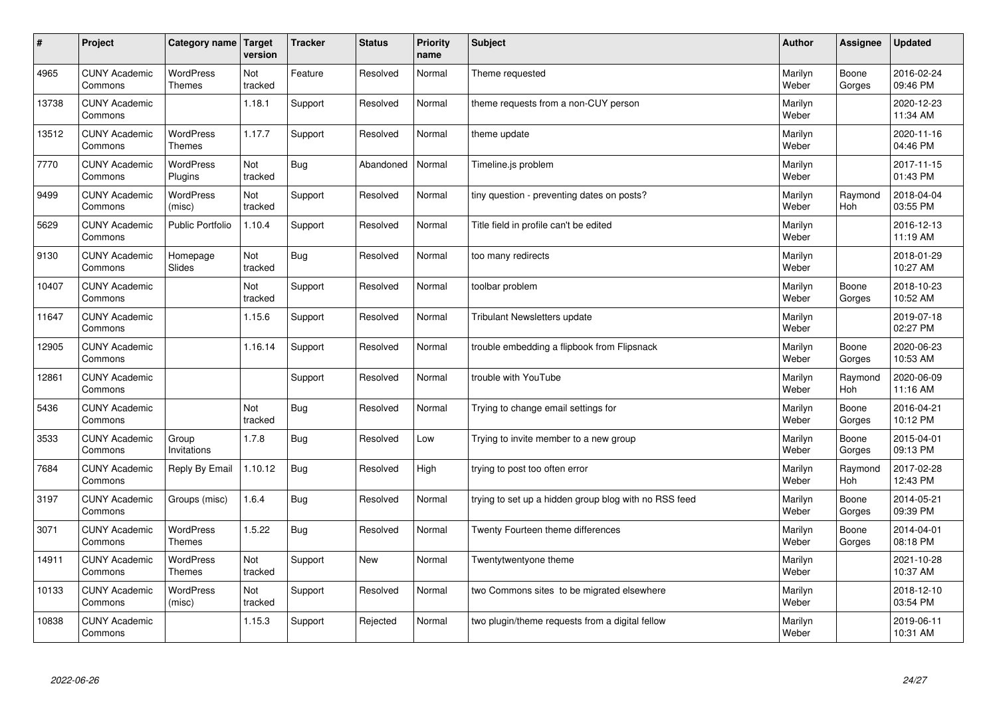| #     | Project                         | Category name   Target            | version        | <b>Tracker</b> | <b>Status</b> | <b>Priority</b><br>name | <b>Subject</b>                                        | <b>Author</b>    | Assignee              | <b>Updated</b>         |
|-------|---------------------------------|-----------------------------------|----------------|----------------|---------------|-------------------------|-------------------------------------------------------|------------------|-----------------------|------------------------|
| 4965  | <b>CUNY Academic</b><br>Commons | <b>WordPress</b><br><b>Themes</b> | Not<br>tracked | Feature        | Resolved      | Normal                  | Theme requested                                       | Marilyn<br>Weber | Boone<br>Gorges       | 2016-02-24<br>09:46 PM |
| 13738 | <b>CUNY Academic</b><br>Commons |                                   | 1.18.1         | Support        | Resolved      | Normal                  | theme requests from a non-CUY person                  | Marilyn<br>Weber |                       | 2020-12-23<br>11:34 AM |
| 13512 | <b>CUNY Academic</b><br>Commons | <b>WordPress</b><br><b>Themes</b> | 1.17.7         | Support        | Resolved      | Normal                  | theme update                                          | Marilyn<br>Weber |                       | 2020-11-16<br>04:46 PM |
| 7770  | <b>CUNY Academic</b><br>Commons | <b>WordPress</b><br>Plugins       | Not<br>tracked | <b>Bug</b>     | Abandoned     | Normal                  | Timeline.js problem                                   | Marilyn<br>Weber |                       | 2017-11-15<br>01:43 PM |
| 9499  | <b>CUNY Academic</b><br>Commons | <b>WordPress</b><br>(misc)        | Not<br>tracked | Support        | Resolved      | Normal                  | tiny question - preventing dates on posts?            | Marilyn<br>Weber | Raymond<br><b>Hoh</b> | 2018-04-04<br>03:55 PM |
| 5629  | <b>CUNY Academic</b><br>Commons | <b>Public Portfolio</b>           | 1.10.4         | Support        | Resolved      | Normal                  | Title field in profile can't be edited                | Marilyn<br>Weber |                       | 2016-12-13<br>11:19 AM |
| 9130  | <b>CUNY Academic</b><br>Commons | Homepage<br>Slides                | Not<br>tracked | Bug            | Resolved      | Normal                  | too many redirects                                    | Marilyn<br>Weber |                       | 2018-01-29<br>10:27 AM |
| 10407 | <b>CUNY Academic</b><br>Commons |                                   | Not<br>tracked | Support        | Resolved      | Normal                  | toolbar problem                                       | Marilyn<br>Weber | Boone<br>Gorges       | 2018-10-23<br>10:52 AM |
| 11647 | <b>CUNY Academic</b><br>Commons |                                   | 1.15.6         | Support        | Resolved      | Normal                  | <b>Tribulant Newsletters update</b>                   | Marilyn<br>Weber |                       | 2019-07-18<br>02:27 PM |
| 12905 | <b>CUNY Academic</b><br>Commons |                                   | 1.16.14        | Support        | Resolved      | Normal                  | trouble embedding a flipbook from Flipsnack           | Marilyn<br>Weber | Boone<br>Gorges       | 2020-06-23<br>10:53 AM |
| 12861 | <b>CUNY Academic</b><br>Commons |                                   |                | Support        | Resolved      | Normal                  | trouble with YouTube                                  | Marilyn<br>Weber | Raymond<br>Hoh        | 2020-06-09<br>11:16 AM |
| 5436  | <b>CUNY Academic</b><br>Commons |                                   | Not<br>tracked | Bug            | Resolved      | Normal                  | Trying to change email settings for                   | Marilyn<br>Weber | Boone<br>Gorges       | 2016-04-21<br>10:12 PM |
| 3533  | <b>CUNY Academic</b><br>Commons | Group<br>Invitations              | 1.7.8          | Bug            | Resolved      | Low                     | Trying to invite member to a new group                | Marilyn<br>Weber | Boone<br>Gorges       | 2015-04-01<br>09:13 PM |
| 7684  | <b>CUNY Academic</b><br>Commons | Reply By Email                    | 1.10.12        | Bug            | Resolved      | High                    | trying to post too often error                        | Marilyn<br>Weber | Raymond<br><b>Hoh</b> | 2017-02-28<br>12:43 PM |
| 3197  | <b>CUNY Academic</b><br>Commons | Groups (misc)                     | 1.6.4          | Bug            | Resolved      | Normal                  | trying to set up a hidden group blog with no RSS feed | Marilyn<br>Weber | Boone<br>Gorges       | 2014-05-21<br>09:39 PM |
| 3071  | <b>CUNY Academic</b><br>Commons | <b>WordPress</b><br><b>Themes</b> | 1.5.22         | Bug            | Resolved      | Normal                  | Twenty Fourteen theme differences                     | Marilyn<br>Weber | Boone<br>Gorges       | 2014-04-01<br>08:18 PM |
| 14911 | <b>CUNY Academic</b><br>Commons | WordPress<br>Themes               | Not<br>tracked | Support        | <b>New</b>    | Normal                  | Twentytwentyone theme                                 | Marilyn<br>Weber |                       | 2021-10-28<br>10:37 AM |
| 10133 | <b>CUNY Academic</b><br>Commons | WordPress<br>(misc)               | Not<br>tracked | Support        | Resolved      | Normal                  | two Commons sites to be migrated elsewhere            | Marilyn<br>Weber |                       | 2018-12-10<br>03:54 PM |
| 10838 | <b>CUNY Academic</b><br>Commons |                                   | 1.15.3         | Support        | Rejected      | Normal                  | two plugin/theme requests from a digital fellow       | Marilyn<br>Weber |                       | 2019-06-11<br>10:31 AM |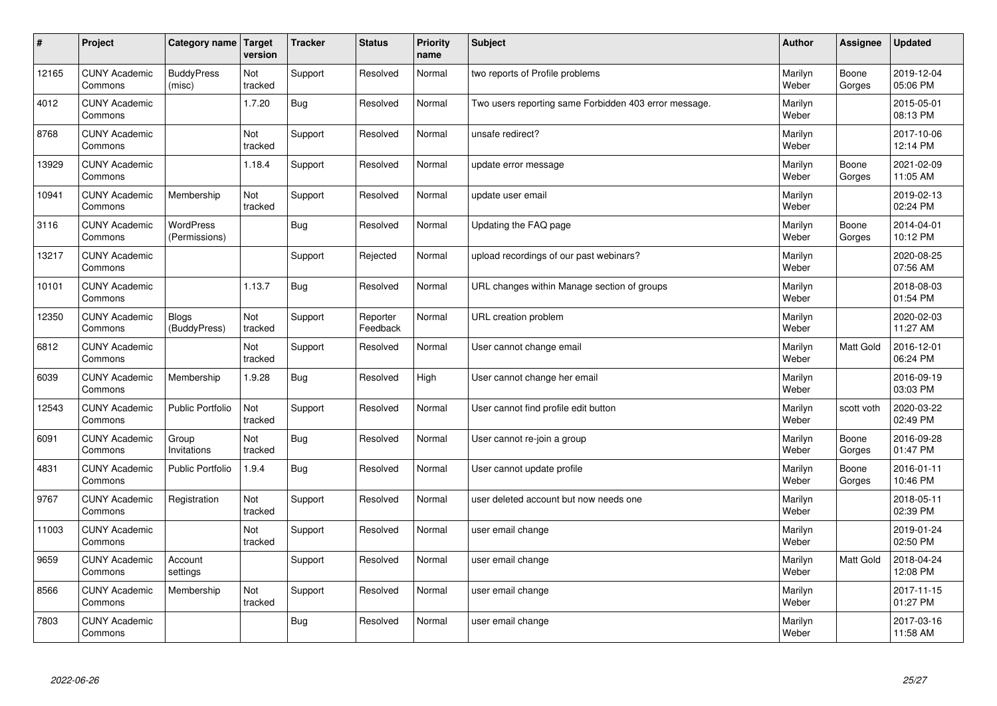| $\sharp$ | Project                         | Category name   Target       | version        | <b>Tracker</b> | <b>Status</b>        | <b>Priority</b><br>name | <b>Subject</b>                                        | <b>Author</b>    | Assignee         | <b>Updated</b>         |
|----------|---------------------------------|------------------------------|----------------|----------------|----------------------|-------------------------|-------------------------------------------------------|------------------|------------------|------------------------|
| 12165    | <b>CUNY Academic</b><br>Commons | <b>BuddyPress</b><br>(misc)  | Not<br>tracked | Support        | Resolved             | Normal                  | two reports of Profile problems                       | Marilyn<br>Weber | Boone<br>Gorges  | 2019-12-04<br>05:06 PM |
| 4012     | <b>CUNY Academic</b><br>Commons |                              | 1.7.20         | Bug            | Resolved             | Normal                  | Two users reporting same Forbidden 403 error message. | Marilyn<br>Weber |                  | 2015-05-01<br>08:13 PM |
| 8768     | <b>CUNY Academic</b><br>Commons |                              | Not<br>tracked | Support        | Resolved             | Normal                  | unsafe redirect?                                      | Marilyn<br>Weber |                  | 2017-10-06<br>12:14 PM |
| 13929    | <b>CUNY Academic</b><br>Commons |                              | 1.18.4         | Support        | Resolved             | Normal                  | update error message                                  | Marilyn<br>Weber | Boone<br>Gorges  | 2021-02-09<br>11:05 AM |
| 10941    | <b>CUNY Academic</b><br>Commons | Membership                   | Not<br>tracked | Support        | Resolved             | Normal                  | update user email                                     | Marilyn<br>Weber |                  | 2019-02-13<br>02:24 PM |
| 3116     | <b>CUNY Academic</b><br>Commons | WordPress<br>(Permissions)   |                | Bug            | Resolved             | Normal                  | Updating the FAQ page                                 | Marilyn<br>Weber | Boone<br>Gorges  | 2014-04-01<br>10:12 PM |
| 13217    | <b>CUNY Academic</b><br>Commons |                              |                | Support        | Rejected             | Normal                  | upload recordings of our past webinars?               | Marilyn<br>Weber |                  | 2020-08-25<br>07:56 AM |
| 10101    | <b>CUNY Academic</b><br>Commons |                              | 1.13.7         | Bug            | Resolved             | Normal                  | URL changes within Manage section of groups           | Marilyn<br>Weber |                  | 2018-08-03<br>01:54 PM |
| 12350    | <b>CUNY Academic</b><br>Commons | <b>Blogs</b><br>(BuddyPress) | Not<br>tracked | Support        | Reporter<br>Feedback | Normal                  | URL creation problem                                  | Marilyn<br>Weber |                  | 2020-02-03<br>11:27 AM |
| 6812     | <b>CUNY Academic</b><br>Commons |                              | Not<br>tracked | Support        | Resolved             | Normal                  | User cannot change email                              | Marilyn<br>Weber | <b>Matt Gold</b> | 2016-12-01<br>06:24 PM |
| 6039     | <b>CUNY Academic</b><br>Commons | Membership                   | 1.9.28         | Bug            | Resolved             | High                    | User cannot change her email                          | Marilyn<br>Weber |                  | 2016-09-19<br>03:03 PM |
| 12543    | <b>CUNY Academic</b><br>Commons | <b>Public Portfolio</b>      | Not<br>tracked | Support        | Resolved             | Normal                  | User cannot find profile edit button                  | Marilyn<br>Weber | scott voth       | 2020-03-22<br>02:49 PM |
| 6091     | <b>CUNY Academic</b><br>Commons | Group<br>Invitations         | Not<br>tracked | Bug            | Resolved             | Normal                  | User cannot re-join a group                           | Marilyn<br>Weber | Boone<br>Gorges  | 2016-09-28<br>01:47 PM |
| 4831     | <b>CUNY Academic</b><br>Commons | Public Portfolio             | 1.9.4          | Bug            | Resolved             | Normal                  | User cannot update profile                            | Marilyn<br>Weber | Boone<br>Gorges  | 2016-01-11<br>10:46 PM |
| 9767     | <b>CUNY Academic</b><br>Commons | Registration                 | Not<br>tracked | Support        | Resolved             | Normal                  | user deleted account but now needs one                | Marilyn<br>Weber |                  | 2018-05-11<br>02:39 PM |
| 11003    | <b>CUNY Academic</b><br>Commons |                              | Not<br>tracked | Support        | Resolved             | Normal                  | user email change                                     | Marilyn<br>Weber |                  | 2019-01-24<br>02:50 PM |
| 9659     | <b>CUNY Academic</b><br>Commons | Account<br>settings          |                | Support        | Resolved             | Normal                  | user email change                                     | Marilyn<br>Weber | Matt Gold        | 2018-04-24<br>12:08 PM |
| 8566     | <b>CUNY Academic</b><br>Commons | Membership                   | Not<br>tracked | Support        | Resolved             | Normal                  | user email change                                     | Marilyn<br>Weber |                  | 2017-11-15<br>01:27 PM |
| 7803     | <b>CUNY Academic</b><br>Commons |                              |                | Bug            | Resolved             | Normal                  | user email change                                     | Marilyn<br>Weber |                  | 2017-03-16<br>11:58 AM |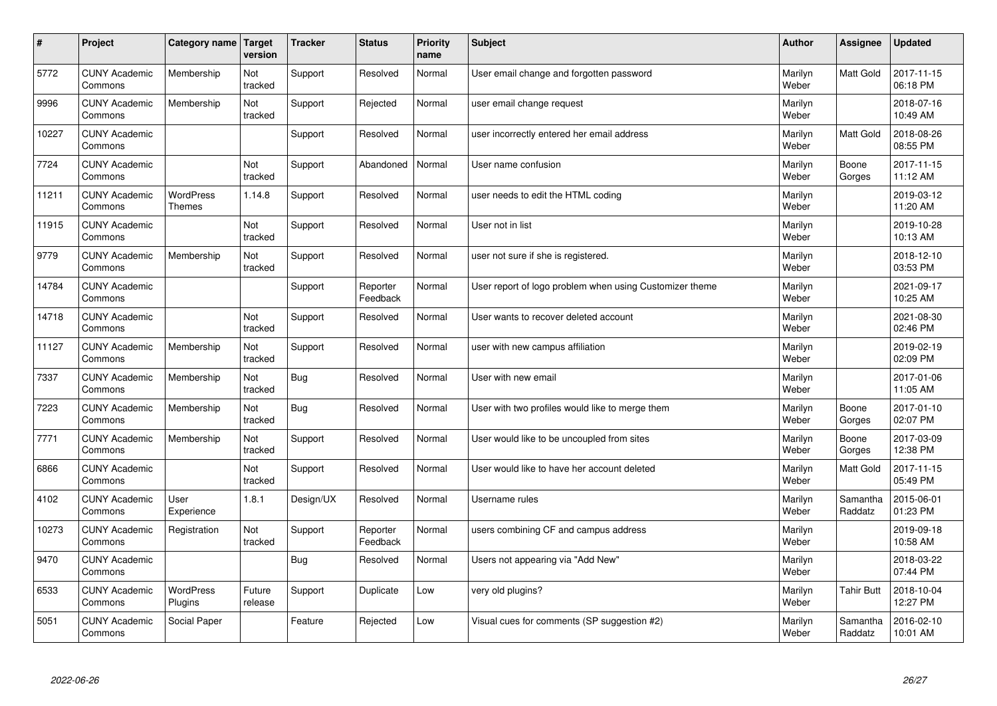| $\sharp$ | Project                         | Category name   Target      | version           | <b>Tracker</b> | <b>Status</b>        | <b>Priority</b><br>name | <b>Subject</b>                                          | <b>Author</b>    | Assignee            | <b>Updated</b>         |
|----------|---------------------------------|-----------------------------|-------------------|----------------|----------------------|-------------------------|---------------------------------------------------------|------------------|---------------------|------------------------|
| 5772     | <b>CUNY Academic</b><br>Commons | Membership                  | Not<br>tracked    | Support        | Resolved             | Normal                  | User email change and forgotten password                | Marilyn<br>Weber | <b>Matt Gold</b>    | 2017-11-15<br>06:18 PM |
| 9996     | <b>CUNY Academic</b><br>Commons | Membership                  | Not<br>tracked    | Support        | Rejected             | Normal                  | user email change request                               | Marilyn<br>Weber |                     | 2018-07-16<br>10:49 AM |
| 10227    | <b>CUNY Academic</b><br>Commons |                             |                   | Support        | Resolved             | Normal                  | user incorrectly entered her email address              | Marilyn<br>Weber | <b>Matt Gold</b>    | 2018-08-26<br>08:55 PM |
| 7724     | <b>CUNY Academic</b><br>Commons |                             | Not<br>tracked    | Support        | Abandoned            | Normal                  | User name confusion                                     | Marilyn<br>Weber | Boone<br>Gorges     | 2017-11-15<br>11:12 AM |
| 11211    | <b>CUNY Academic</b><br>Commons | <b>WordPress</b><br>Themes  | 1.14.8            | Support        | Resolved             | Normal                  | user needs to edit the HTML coding                      | Marilyn<br>Weber |                     | 2019-03-12<br>11:20 AM |
| 11915    | <b>CUNY Academic</b><br>Commons |                             | Not<br>tracked    | Support        | Resolved             | Normal                  | User not in list                                        | Marilyn<br>Weber |                     | 2019-10-28<br>10:13 AM |
| 9779     | <b>CUNY Academic</b><br>Commons | Membership                  | Not<br>tracked    | Support        | Resolved             | Normal                  | user not sure if she is registered.                     | Marilyn<br>Weber |                     | 2018-12-10<br>03:53 PM |
| 14784    | <b>CUNY Academic</b><br>Commons |                             |                   | Support        | Reporter<br>Feedback | Normal                  | User report of logo problem when using Customizer theme | Marilyn<br>Weber |                     | 2021-09-17<br>10:25 AM |
| 14718    | <b>CUNY Academic</b><br>Commons |                             | Not<br>tracked    | Support        | Resolved             | Normal                  | User wants to recover deleted account                   | Marilyn<br>Weber |                     | 2021-08-30<br>02:46 PM |
| 11127    | <b>CUNY Academic</b><br>Commons | Membership                  | Not<br>tracked    | Support        | Resolved             | Normal                  | user with new campus affiliation                        | Marilyn<br>Weber |                     | 2019-02-19<br>02:09 PM |
| 7337     | <b>CUNY Academic</b><br>Commons | Membership                  | Not<br>tracked    | Bug            | Resolved             | Normal                  | User with new email                                     | Marilyn<br>Weber |                     | 2017-01-06<br>11:05 AM |
| 7223     | <b>CUNY Academic</b><br>Commons | Membership                  | Not<br>tracked    | Bug            | Resolved             | Normal                  | User with two profiles would like to merge them         | Marilyn<br>Weber | Boone<br>Gorges     | 2017-01-10<br>02:07 PM |
| 7771     | <b>CUNY Academic</b><br>Commons | Membership                  | Not<br>tracked    | Support        | Resolved             | Normal                  | User would like to be uncoupled from sites              | Marilyn<br>Weber | Boone<br>Gorges     | 2017-03-09<br>12:38 PM |
| 6866     | <b>CUNY Academic</b><br>Commons |                             | Not<br>tracked    | Support        | Resolved             | Normal                  | User would like to have her account deleted             | Marilyn<br>Weber | Matt Gold           | 2017-11-15<br>05:49 PM |
| 4102     | <b>CUNY Academic</b><br>Commons | User<br>Experience          | 1.8.1             | Design/UX      | Resolved             | Normal                  | Username rules                                          | Marilyn<br>Weber | Samantha<br>Raddatz | 2015-06-01<br>01:23 PM |
| 10273    | <b>CUNY Academic</b><br>Commons | Registration                | Not<br>tracked    | Support        | Reporter<br>Feedback | Normal                  | users combining CF and campus address                   | Marilyn<br>Weber |                     | 2019-09-18<br>10:58 AM |
| 9470     | <b>CUNY Academic</b><br>Commons |                             |                   | Bug            | Resolved             | Normal                  | Users not appearing via "Add New"                       | Marilyn<br>Weber |                     | 2018-03-22<br>07:44 PM |
| 6533     | <b>CUNY Academic</b><br>Commons | <b>WordPress</b><br>Plugins | Future<br>release | Support        | Duplicate            | Low                     | very old plugins?                                       | Marilyn<br>Weber | <b>Tahir Butt</b>   | 2018-10-04<br>12:27 PM |
| 5051     | <b>CUNY Academic</b><br>Commons | Social Paper                |                   | Feature        | Rejected             | Low                     | Visual cues for comments (SP suggestion #2)             | Marilyn<br>Weber | Samantha<br>Raddatz | 2016-02-10<br>10:01 AM |